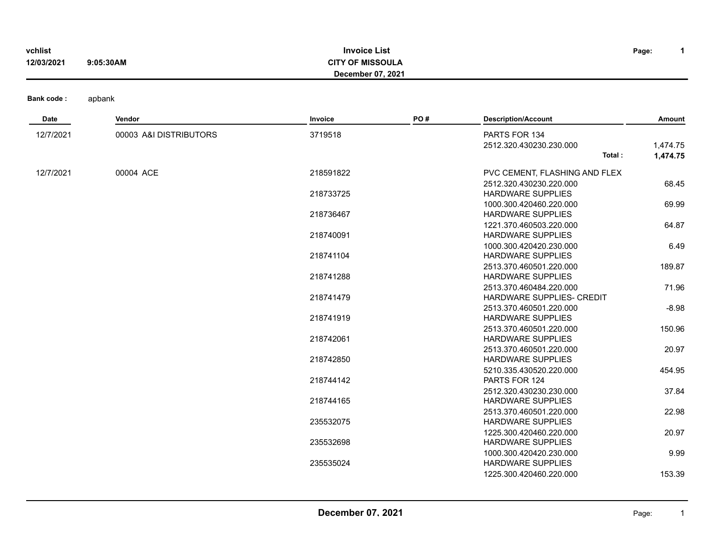| vchlist<br>12/03/2021 | 9:05:30AM              | <b>Invoice List</b><br><b>CITY OF MISSOULA</b><br>December 07, 2021 |     |                                                                                 | $\mathbf 1$<br>Page: |
|-----------------------|------------------------|---------------------------------------------------------------------|-----|---------------------------------------------------------------------------------|----------------------|
| <b>Bank code:</b>     | apbank                 |                                                                     |     |                                                                                 |                      |
| Date                  | Vendor                 | Invoice                                                             | PO# | <b>Description/Account</b>                                                      | Amount               |
| 12/7/2021             | 00003 A&I DISTRIBUTORS | 3719518                                                             |     | PARTS FOR 134<br>2512.320.430230.230.000<br>Total:                              | 1,474.75<br>1,474.75 |
| 12/7/2021             | 00004 ACE              | 218591822<br>218733725                                              |     | PVC CEMENT, FLASHING AND FLEX<br>2512.320.430230.220.000<br>HARDWARE SUPPLIES   | 68.45                |
|                       |                        | 218736467                                                           |     | 1000.300.420460.220.000<br><b>HARDWARE SUPPLIES</b><br>1221.370.460503.220.000  | 69.99<br>64.87       |
|                       |                        | 218740091                                                           |     | <b>HARDWARE SUPPLIES</b><br>1000.300.420420.230.000                             | 6.49                 |
|                       |                        | 218741104<br>218741288                                              |     | <b>HARDWARE SUPPLIES</b><br>2513.370.460501.220.000<br><b>HARDWARE SUPPLIES</b> | 189.87               |
|                       |                        | 218741479                                                           |     | 2513.370.460484.220.000<br>HARDWARE SUPPLIES- CREDIT<br>2513.370.460501.220.000 | 71.96<br>$-8.98$     |
|                       |                        | 218741919                                                           |     | <b>HARDWARE SUPPLIES</b><br>2513.370.460501.220.000                             | 150.96               |
|                       |                        | 218742061<br>218742850                                              |     | <b>HARDWARE SUPPLIES</b><br>2513.370.460501.220.000<br><b>HARDWARE SUPPLIES</b> | 20.97                |
|                       |                        | 218744142                                                           |     | 5210.335.430520.220.000<br>PARTS FOR 124                                        | 454.95               |
|                       |                        | 218744165                                                           |     | 2512.320.430230.230.000<br><b>HARDWARE SUPPLIES</b><br>2513.370.460501.220.000  | 37.84<br>22.98       |
|                       |                        | 235532075                                                           |     | <b>HARDWARE SUPPLIES</b><br>1225.300.420460.220.000                             | 20.97                |
|                       |                        | 235532698                                                           |     | <b>HARDWARE SUPPLIES</b><br>1000.300.420420.230.000                             | 9.99                 |
|                       |                        | 235535024                                                           |     | <b>HARDWARE SUPPLIES</b><br>1225.300.420460.220.000                             | 153.39               |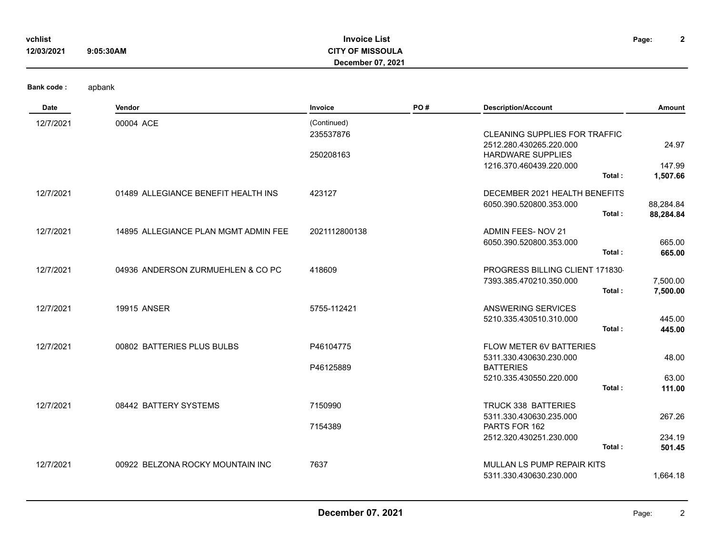| vchlist<br>12/03/2021 | 9:05:30AM                            | <b>Invoice List</b><br><b>CITY OF MISSOULA</b><br>December 07, 2021 |     |                                                                                                                                  | $\mathbf{2}$<br>Page:       |
|-----------------------|--------------------------------------|---------------------------------------------------------------------|-----|----------------------------------------------------------------------------------------------------------------------------------|-----------------------------|
| <b>Bank code:</b>     | apbank                               |                                                                     |     |                                                                                                                                  |                             |
| Date                  | Vendor                               | Invoice                                                             | PO# | <b>Description/Account</b>                                                                                                       | Amount                      |
| 12/7/2021             | 00004 ACE                            | (Continued)<br>235537876<br>250208163                               |     | <b>CLEANING SUPPLIES FOR TRAFFIC</b><br>2512.280.430265.220.000<br><b>HARDWARE SUPPLIES</b><br>1216.370.460439.220.000<br>Total: | 24.97<br>147.99<br>1,507.66 |
| 12/7/2021             | 01489 ALLEGIANCE BENEFIT HEALTH INS  | 423127                                                              |     | DECEMBER 2021 HEALTH BENEFITS<br>6050.390.520800.353.000<br>Total:                                                               | 88,284.84<br>88,284.84      |
| 12/7/2021             | 14895 ALLEGIANCE PLAN MGMT ADMIN FEE | 2021112800138                                                       |     | ADMIN FEES- NOV 21<br>6050.390.520800.353.000<br>Total:                                                                          | 665.00<br>665.00            |
| 12/7/2021             | 04936 ANDERSON ZURMUEHLEN & CO PC    | 418609                                                              |     | PROGRESS BILLING CLIENT 171830<br>7393.385.470210.350.000<br>Total:                                                              | 7,500.00<br>7,500.00        |
| 12/7/2021             | <b>19915 ANSER</b>                   | 5755-112421                                                         |     | <b>ANSWERING SERVICES</b><br>5210.335.430510.310.000<br>Total:                                                                   | 445.00<br>445.00            |
| 12/7/2021             | 00802 BATTERIES PLUS BULBS           | P46104775<br>P46125889                                              |     | FLOW METER 6V BATTERIES<br>5311.330.430630.230.000<br><b>BATTERIES</b><br>5210.335.430550.220.000                                | 48.00<br>63.00              |
|                       |                                      |                                                                     |     | Total:                                                                                                                           | 111.00                      |
| 12/7/2021             | 08442 BATTERY SYSTEMS                | 7150990<br>7154389                                                  |     | TRUCK 338 BATTERIES<br>5311.330.430630.235.000<br>PARTS FOR 162<br>2512.320.430251.230.000<br>Total:                             | 267.26<br>234.19<br>501.45  |
| 12/7/2021             | 00922 BELZONA ROCKY MOUNTAIN INC     | 7637                                                                |     | MULLAN LS PUMP REPAIR KITS<br>5311.330.430630.230.000                                                                            | 1,664.18                    |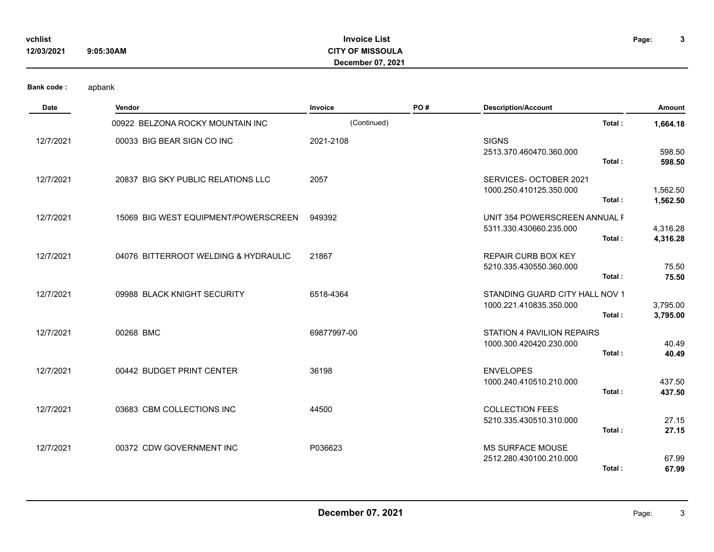| vchlist    |           |
|------------|-----------|
| 12/03/2021 | 9:05:30AM |

## **Invoice List CITY OF MISSOULA vchlist Page: December 07, 2021**

**3**

| Date      | Vendor                               | Invoice     | PO# | <b>Description/Account</b>                                          | Amount               |
|-----------|--------------------------------------|-------------|-----|---------------------------------------------------------------------|----------------------|
|           | 00922 BELZONA ROCKY MOUNTAIN INC     | (Continued) |     | Total:                                                              | 1,664.18             |
| 12/7/2021 | 00033 BIG BEAR SIGN CO INC           | 2021-2108   |     | <b>SIGNS</b><br>2513.370.460470.360.000<br>Total:                   | 598.50<br>598.50     |
| 12/7/2021 | 20837 BIG SKY PUBLIC RELATIONS LLC   | 2057        |     | SERVICES- OCTOBER 2021<br>1000.250.410125.350.000<br>Total:         | 1,562.50<br>1,562.50 |
| 12/7/2021 | 15069 BIG WEST EQUIPMENT/POWERSCREEN | 949392      |     | UNIT 354 POWERSCREEN ANNUAL F<br>5311.330.430660.235.000<br>Total:  | 4,316.28<br>4,316.28 |
| 12/7/2021 | 04076 BITTERROOT WELDING & HYDRAULIC | 21867       |     | <b>REPAIR CURB BOX KEY</b><br>5210.335.430550.360.000<br>Total:     | 75.50<br>75.50       |
| 12/7/2021 | 09988 BLACK KNIGHT SECURITY          | 6518-4364   |     | STANDING GUARD CITY HALL NOV 1<br>1000.221.410835.350.000<br>Total: | 3,795.00<br>3,795.00 |
| 12/7/2021 | 00268 BMC                            | 69877997-00 |     | STATION 4 PAVILION REPAIRS<br>1000.300.420420.230.000<br>Total:     | 40.49<br>40.49       |
| 12/7/2021 | 00442 BUDGET PRINT CENTER            | 36198       |     | <b>ENVELOPES</b><br>1000.240.410510.210.000<br>Total:               | 437.50<br>437.50     |
| 12/7/2021 | 03683 CBM COLLECTIONS INC            | 44500       |     | <b>COLLECTION FEES</b><br>5210.335.430510.310.000<br>Total:         | 27.15<br>27.15       |
| 12/7/2021 | 00372 CDW GOVERNMENT INC             | P036623     |     | <b>MS SURFACE MOUSE</b><br>2512.280.430100.210.000<br>Total:        | 67.99<br>67.99       |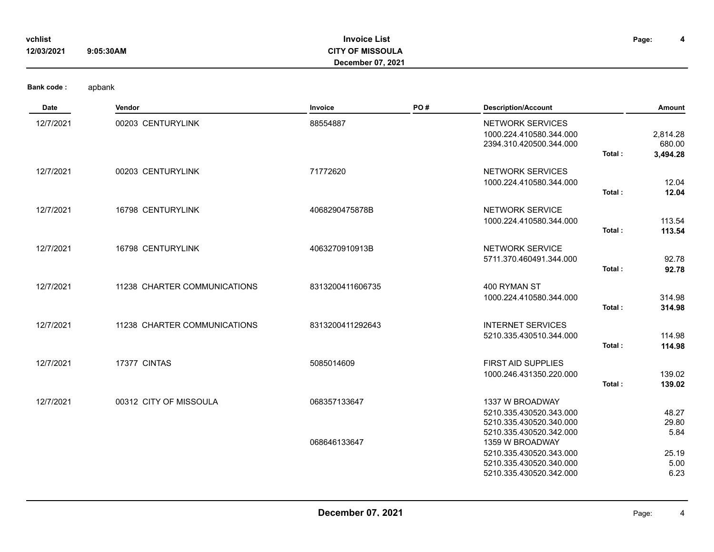| vchlist<br>12/03/2021 | 9:05:30AM                    | <b>Invoice List</b><br><b>CITY OF MISSOULA</b><br><b>December 07, 2021</b> |     |                                                                                                  |        | 4<br>Page:                     |
|-----------------------|------------------------------|----------------------------------------------------------------------------|-----|--------------------------------------------------------------------------------------------------|--------|--------------------------------|
| <b>Bank code:</b>     | apbank                       |                                                                            |     |                                                                                                  |        |                                |
| Date                  | Vendor                       | Invoice                                                                    | PO# | <b>Description/Account</b>                                                                       |        | Amount                         |
| 12/7/2021             | 00203 CENTURYLINK            | 88554887                                                                   |     | NETWORK SERVICES<br>1000.224.410580.344.000<br>2394.310.420500.344.000                           | Total: | 2,814.28<br>680.00<br>3,494.28 |
| 12/7/2021             | 00203 CENTURYLINK            | 71772620                                                                   |     | NETWORK SERVICES<br>1000.224.410580.344.000                                                      | Total: | 12.04<br>12.04                 |
| 12/7/2021             | 16798 CENTURYLINK            | 4068290475878B                                                             |     | NETWORK SERVICE<br>1000.224.410580.344.000                                                       | Total: | 113.54<br>113.54               |
| 12/7/2021             | 16798 CENTURYLINK            | 4063270910913B                                                             |     | <b>NETWORK SERVICE</b><br>5711.370.460491.344.000                                                | Total: | 92.78<br>92.78                 |
| 12/7/2021             | 11238 CHARTER COMMUNICATIONS | 8313200411606735                                                           |     | 400 RYMAN ST<br>1000.224.410580.344.000                                                          | Total: | 314.98<br>314.98               |
| 12/7/2021             | 11238 CHARTER COMMUNICATIONS | 8313200411292643                                                           |     | <b>INTERNET SERVICES</b><br>5210.335.430510.344.000                                              | Total: | 114.98<br>114.98               |
| 12/7/2021             | 17377 CINTAS                 | 5085014609                                                                 |     | FIRST AID SUPPLIES<br>1000.246.431350.220.000                                                    | Total: | 139.02<br>139.02               |
| 12/7/2021             | 00312 CITY OF MISSOULA       | 068357133647                                                               |     | 1337 W BROADWAY<br>5210.335.430520.343.000<br>5210.335.430520.340.000<br>5210.335.430520.342.000 |        | 48.27<br>29.80<br>5.84         |
|                       |                              | 068646133647                                                               |     | 1359 W BROADWAY<br>5210.335.430520.343.000<br>5210.335.430520.340.000<br>5210.335.430520.342.000 |        | 25.19<br>5.00<br>6.23          |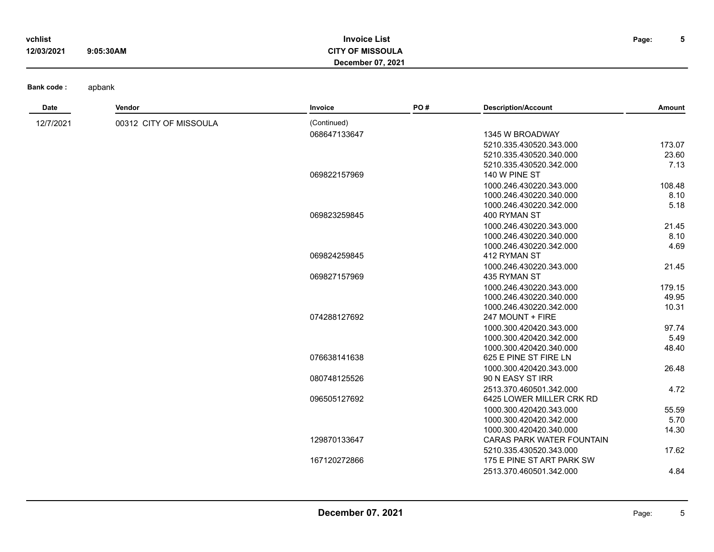| vchlist    |           | Invoice List      | Page: | . . |
|------------|-----------|-------------------|-------|-----|
| 12/03/2021 | 9:05:30AM | ີ OF MISSOULA     |       |     |
|            |           | December 07, 2021 |       |     |
|            |           |                   |       |     |

| Date      | Vendor                 | Invoice      | PO# | <b>Description/Account</b>              | Amount |
|-----------|------------------------|--------------|-----|-----------------------------------------|--------|
| 12/7/2021 | 00312 CITY OF MISSOULA | (Continued)  |     |                                         |        |
|           |                        | 068647133647 |     | 1345 W BROADWAY                         |        |
|           |                        |              |     | 5210.335.430520.343.000                 | 173.07 |
|           |                        |              |     | 5210.335.430520.340.000                 | 23.60  |
|           |                        |              |     | 5210.335.430520.342.000                 | 7.13   |
|           |                        | 069822157969 |     | 140 W PINE ST                           |        |
|           |                        |              |     | 1000.246.430220.343.000                 | 108.48 |
|           |                        |              |     | 1000.246.430220.340.000                 | 8.10   |
|           |                        |              |     | 1000.246.430220.342.000                 | 5.18   |
|           |                        | 069823259845 |     | 400 RYMAN ST                            |        |
|           |                        |              |     | 1000.246.430220.343.000                 | 21.45  |
|           |                        |              |     | 1000.246.430220.340.000                 | 8.10   |
|           |                        |              |     | 1000.246.430220.342.000                 | 4.69   |
|           |                        | 069824259845 |     | 412 RYMAN ST                            |        |
|           |                        | 069827157969 |     | 1000.246.430220.343.000<br>435 RYMAN ST | 21.45  |
|           |                        |              |     | 1000.246.430220.343.000                 | 179.15 |
|           |                        |              |     | 1000.246.430220.340.000                 | 49.95  |
|           |                        |              |     | 1000.246.430220.342.000                 | 10.31  |
|           |                        | 074288127692 |     | 247 MOUNT + FIRE                        |        |
|           |                        |              |     | 1000.300.420420.343.000                 | 97.74  |
|           |                        |              |     | 1000.300.420420.342.000                 | 5.49   |
|           |                        |              |     | 1000.300.420420.340.000                 | 48.40  |
|           |                        | 076638141638 |     | 625 E PINE ST FIRE LN                   |        |
|           |                        |              |     | 1000.300.420420.343.000                 | 26.48  |
|           |                        | 080748125526 |     | 90 N EASY ST IRR                        |        |
|           |                        |              |     | 2513.370.460501.342.000                 | 4.72   |
|           |                        | 096505127692 |     | 6425 LOWER MILLER CRK RD                |        |
|           |                        |              |     | 1000.300.420420.343.000                 | 55.59  |
|           |                        |              |     | 1000.300.420420.342.000                 | 5.70   |
|           |                        |              |     | 1000.300.420420.340.000                 | 14.30  |
|           |                        | 129870133647 |     | CARAS PARK WATER FOUNTAIN               |        |
|           |                        |              |     | 5210.335.430520.343.000                 | 17.62  |
|           |                        | 167120272866 |     | 175 E PINE ST ART PARK SW               |        |
|           |                        |              |     | 2513.370.460501.342.000                 | 4.84   |
|           |                        |              |     |                                         |        |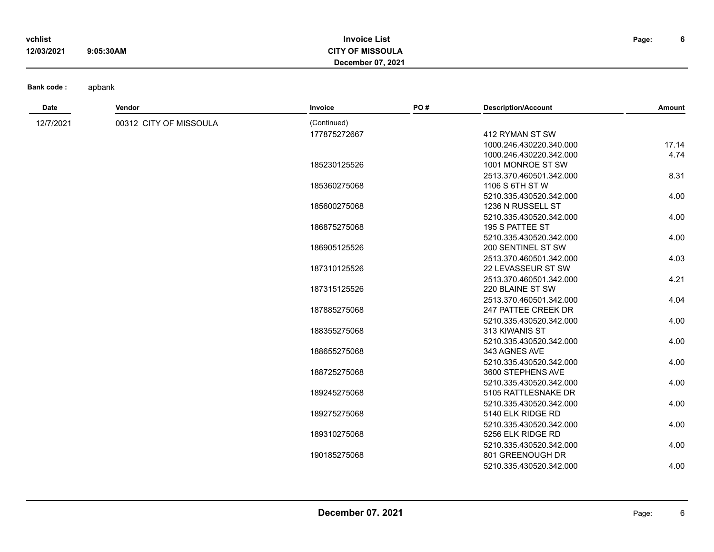| vchlist    |           | <b>Invoice List</b>     | Page: | b |
|------------|-----------|-------------------------|-------|---|
| 12/03/2021 | 9:05:30AM | <b>CITY OF MISSOULA</b> |       |   |
|            |           | December 07, 2021       |       |   |

| <b>Date</b> | Vendor                 | Invoice      | PO# | <b>Description/Account</b>                | Amount |
|-------------|------------------------|--------------|-----|-------------------------------------------|--------|
| 12/7/2021   | 00312 CITY OF MISSOULA | (Continued)  |     |                                           |        |
|             |                        | 177875272667 |     | 412 RYMAN ST SW                           |        |
|             |                        |              |     | 1000.246.430220.340.000                   | 17.14  |
|             |                        |              |     | 1000.246.430220.342.000                   | 4.74   |
|             |                        | 185230125526 |     | 1001 MONROE ST SW                         |        |
|             |                        |              |     | 2513.370.460501.342.000                   | 8.31   |
|             |                        | 185360275068 |     | 1106 S 6TH ST W                           |        |
|             |                        |              |     | 5210.335.430520.342.000                   | 4.00   |
|             |                        | 185600275068 |     | 1236 N RUSSELL ST                         |        |
|             |                        |              |     | 5210.335.430520.342.000                   | 4.00   |
|             |                        | 186875275068 |     | 195 S PATTEE ST                           |        |
|             |                        |              |     | 5210.335.430520.342.000                   | 4.00   |
|             |                        | 186905125526 |     | 200 SENTINEL ST SW                        |        |
|             |                        |              |     | 2513.370.460501.342.000                   | 4.03   |
|             |                        | 187310125526 |     | 22 LEVASSEUR ST SW                        |        |
|             |                        |              |     | 2513.370.460501.342.000                   | 4.21   |
|             |                        | 187315125526 |     | 220 BLAINE ST SW                          |        |
|             |                        |              |     | 2513.370.460501.342.000                   | 4.04   |
|             |                        | 187885275068 |     | 247 PATTEE CREEK DR                       |        |
|             |                        | 188355275068 |     | 5210.335.430520.342.000<br>313 KIWANIS ST | 4.00   |
|             |                        |              |     | 5210.335.430520.342.000                   | 4.00   |
|             |                        | 188655275068 |     | 343 AGNES AVE                             |        |
|             |                        |              |     | 5210.335.430520.342.000                   | 4.00   |
|             |                        | 188725275068 |     | 3600 STEPHENS AVE                         |        |
|             |                        |              |     | 5210.335.430520.342.000                   | 4.00   |
|             |                        | 189245275068 |     | 5105 RATTLESNAKE DR                       |        |
|             |                        |              |     | 5210.335.430520.342.000                   | 4.00   |
|             |                        | 189275275068 |     | 5140 ELK RIDGE RD                         |        |
|             |                        |              |     | 5210.335.430520.342.000                   | 4.00   |
|             |                        | 189310275068 |     | 5256 ELK RIDGE RD                         |        |
|             |                        |              |     | 5210.335.430520.342.000                   | 4.00   |
|             |                        | 190185275068 |     | 801 GREENOUGH DR                          |        |
|             |                        |              |     | 5210.335.430520.342.000                   | 4.00   |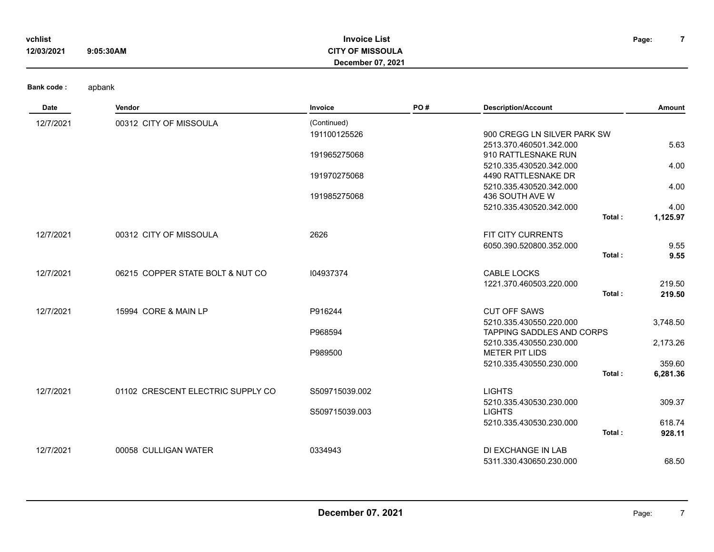| vchlist    |           | <b>Invoice List</b> | Page: |  |
|------------|-----------|---------------------|-------|--|
| 12/03/2021 | 9:05:30AM | <b>OF MISSOULA</b>  |       |  |
|            |           | December 07, 2021   |       |  |

| <b>Date</b> | Vendor                            | Invoice        | PO# | <b>Description/Account</b>        | Amount   |
|-------------|-----------------------------------|----------------|-----|-----------------------------------|----------|
| 12/7/2021   | 00312 CITY OF MISSOULA            | (Continued)    |     |                                   |          |
|             |                                   | 191100125526   |     | 900 CREGG LN SILVER PARK SW       |          |
|             |                                   |                |     | 2513.370.460501.342.000           | 5.63     |
|             |                                   | 191965275068   |     | 910 RATTLESNAKE RUN               |          |
|             |                                   |                |     | 5210.335.430520.342.000           | 4.00     |
|             |                                   | 191970275068   |     | 4490 RATTLESNAKE DR               |          |
|             |                                   |                |     | 5210.335.430520.342.000           | 4.00     |
|             |                                   | 191985275068   |     | 436 SOUTH AVE W                   |          |
|             |                                   |                |     | 5210.335.430520.342.000           | 4.00     |
|             |                                   |                |     | Total:                            | 1,125.97 |
| 12/7/2021   | 00312 CITY OF MISSOULA            | 2626           |     | FIT CITY CURRENTS                 |          |
|             |                                   |                |     | 6050.390.520800.352.000           | 9.55     |
|             |                                   |                |     | Total:                            | 9.55     |
| 12/7/2021   | 06215 COPPER STATE BOLT & NUT CO  | 104937374      |     | CABLE LOCKS                       |          |
|             |                                   |                |     | 1221.370.460503.220.000           | 219.50   |
|             |                                   |                |     | Total:                            | 219.50   |
|             |                                   |                |     |                                   |          |
| 12/7/2021   | 15994 CORE & MAIN LP              | P916244        |     | <b>CUT OFF SAWS</b>               |          |
|             |                                   |                |     | 5210.335.430550.220.000           | 3,748.50 |
|             |                                   | P968594        |     | <b>TAPPING SADDLES AND CORPS</b>  |          |
|             |                                   |                |     | 5210.335.430550.230.000           | 2,173.26 |
|             |                                   | P989500        |     | <b>METER PIT LIDS</b>             |          |
|             |                                   |                |     | 5210.335.430550.230.000<br>Total: | 359.60   |
|             |                                   |                |     |                                   | 6,281.36 |
| 12/7/2021   | 01102 CRESCENT ELECTRIC SUPPLY CO | S509715039.002 |     | <b>LIGHTS</b>                     |          |
|             |                                   |                |     | 5210.335.430530.230.000           | 309.37   |
|             |                                   | S509715039.003 |     | <b>LIGHTS</b>                     |          |
|             |                                   |                |     | 5210.335.430530.230.000           | 618.74   |
|             |                                   |                |     | Total:                            | 928.11   |
| 12/7/2021   | 00058 CULLIGAN WATER              | 0334943        |     | DI EXCHANGE IN LAB                |          |
|             |                                   |                |     | 5311.330.430650.230.000           | 68.50    |
|             |                                   |                |     |                                   |          |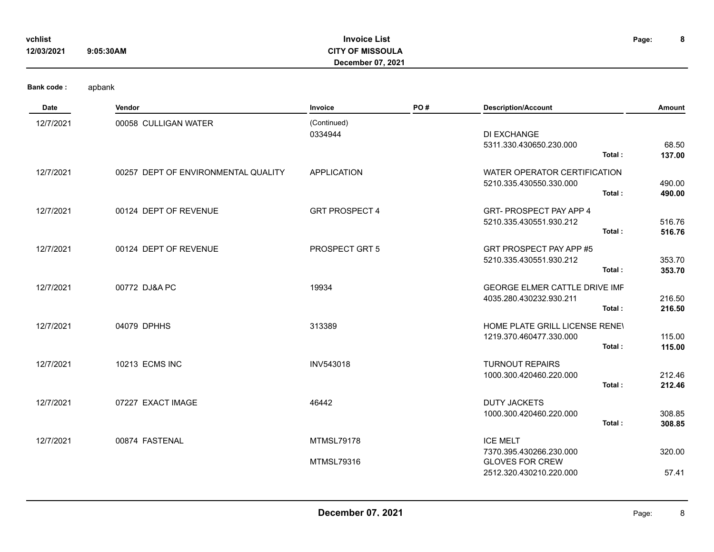| vchlist<br>12/03/2021 | 9:05:30AM                           | <b>Invoice List</b><br><b>CITY OF MISSOULA</b><br>December 07, 2021 |     |                                                                                                 | 8<br>Page:       |
|-----------------------|-------------------------------------|---------------------------------------------------------------------|-----|-------------------------------------------------------------------------------------------------|------------------|
| <b>Bank code:</b>     | apbank                              |                                                                     |     |                                                                                                 |                  |
| Date                  | Vendor                              | <b>Invoice</b>                                                      | PO# | <b>Description/Account</b>                                                                      | Amount           |
| 12/7/2021             | 00058 CULLIGAN WATER                | (Continued)<br>0334944                                              |     | DI EXCHANGE<br>5311.330.430650.230.000<br>Total:                                                | 68.50<br>137.00  |
| 12/7/2021             | 00257 DEPT OF ENVIRONMENTAL QUALITY | <b>APPLICATION</b>                                                  |     | WATER OPERATOR CERTIFICATION<br>5210.335.430550.330.000<br>Total:                               | 490.00<br>490.00 |
| 12/7/2021             | 00124 DEPT OF REVENUE               | <b>GRT PROSPECT 4</b>                                               |     | GRT-PROSPECT PAY APP 4<br>5210.335.430551.930.212<br>Total:                                     | 516.76<br>516.76 |
| 12/7/2021             | 00124 DEPT OF REVENUE               | PROSPECT GRT 5                                                      |     | GRT PROSPECT PAY APP #5<br>5210.335.430551.930.212<br>Total:                                    | 353.70<br>353.70 |
| 12/7/2021             | 00772 DJ&A PC                       | 19934                                                               |     | GEORGE ELMER CATTLE DRIVE IMF<br>4035.280.430232.930.211<br>Total:                              | 216.50<br>216.50 |
| 12/7/2021             | 04079 DPHHS                         | 313389                                                              |     | HOME PLATE GRILL LICENSE RENEV<br>1219.370.460477.330.000<br>Total:                             | 115.00<br>115.00 |
| 12/7/2021             | 10213 ECMS INC                      | <b>INV543018</b>                                                    |     | <b>TURNOUT REPAIRS</b><br>1000.300.420460.220.000<br>Total:                                     | 212.46<br>212.46 |
| 12/7/2021             | 07227 EXACT IMAGE                   | 46442                                                               |     | <b>DUTY JACKETS</b><br>1000.300.420460.220.000<br>Total:                                        | 308.85<br>308.85 |
| 12/7/2021             | 00874 FASTENAL                      | <b>MTMSL79178</b><br><b>MTMSL79316</b>                              |     | <b>ICE MELT</b><br>7370.395.430266.230.000<br><b>GLOVES FOR CREW</b><br>2512.320.430210.220.000 | 320.00<br>57.41  |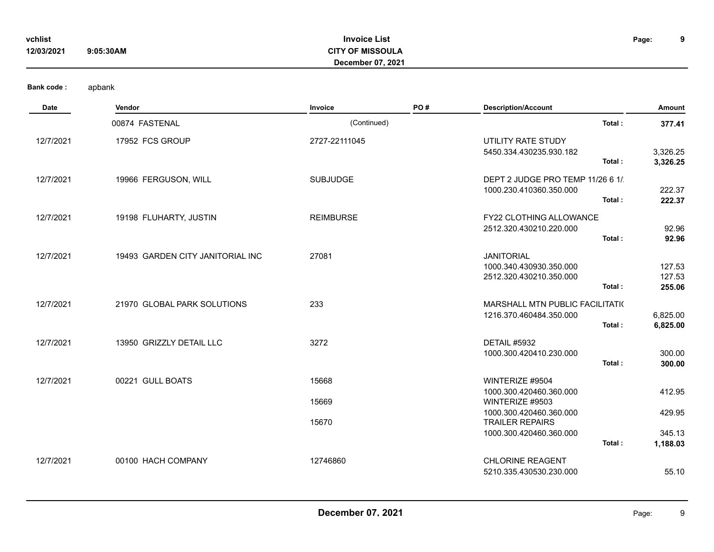| 12/03/2021        | 9:05:30AM                        | <b>CITY OF MISSOULA</b><br>December 07, 2021 |     |                                                                                   |                            |
|-------------------|----------------------------------|----------------------------------------------|-----|-----------------------------------------------------------------------------------|----------------------------|
| <b>Bank code:</b> | apbank                           |                                              |     |                                                                                   |                            |
| Date              | Vendor                           | Invoice                                      | PO# | <b>Description/Account</b>                                                        | Amount                     |
|                   | 00874 FASTENAL                   | (Continued)                                  |     | Total:                                                                            | 377.41                     |
| 12/7/2021         | 17952 FCS GROUP                  | 2727-22111045                                |     | UTILITY RATE STUDY<br>5450.334.430235.930.182<br>Total:                           | 3,326.25<br>3,326.25       |
| 12/7/2021         | 19966 FERGUSON, WILL             | <b>SUBJUDGE</b>                              |     | DEPT 2 JUDGE PRO TEMP 11/26 6 1/<br>1000.230.410360.350.000<br>Total:             | 222.37<br>222.37           |
| 12/7/2021         | 19198 FLUHARTY, JUSTIN           | <b>REIMBURSE</b>                             |     | FY22 CLOTHING ALLOWANCE<br>2512.320.430210.220.000<br>Total:                      | 92.96<br>92.96             |
| 12/7/2021         | 19493 GARDEN CITY JANITORIAL INC | 27081                                        |     | <b>JANITORIAL</b><br>1000.340.430930.350.000<br>2512.320.430210.350.000<br>Total: | 127.53<br>127.53<br>255.06 |
| 12/7/2021         | 21970 GLOBAL PARK SOLUTIONS      | 233                                          |     | MARSHALL MTN PUBLIC FACILITATI(<br>1216.370.460484.350.000<br>Total:              | 6,825.00<br>6,825.00       |
| 12/7/2021         | 13950 GRIZZLY DETAIL LLC         | 3272                                         |     | DETAIL #5932<br>1000.300.420410.230.000<br>Total:                                 | 300.00<br>300.00           |
| 12/7/2021         | 00221 GULL BOATS                 | 15668                                        |     | WINTERIZE #9504                                                                   |                            |
|                   |                                  | 15669                                        |     | 1000.300.420460.360.000<br>WINTERIZE #9503                                        | 412.95                     |
|                   |                                  | 15670                                        |     | 1000.300.420460.360.000<br><b>TRAILER REPAIRS</b><br>1000.300.420460.360.000      | 429.95<br>345.13           |
|                   |                                  |                                              |     | Total:                                                                            | 1,188.03                   |
| 12/7/2021         | 00100 HACH COMPANY               | 12746860                                     |     | <b>CHLORINE REAGENT</b><br>5210.335.430530.230.000                                | 55.10                      |

**Invoice List**

**vchlist Page:**

**9**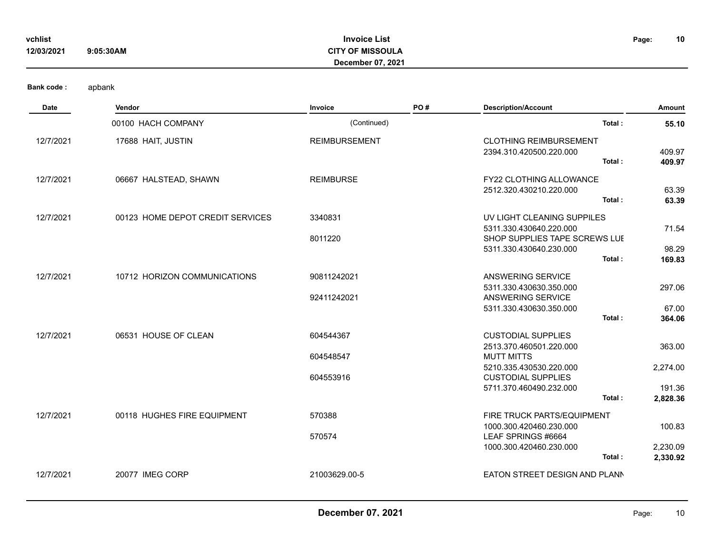| vchlist<br>12/03/2021              | 9:05:30AM | <b>Invoice List</b><br><b>CITY OF MISSOULA</b><br><b>December 07, 2021</b> | Page: | 10 |
|------------------------------------|-----------|----------------------------------------------------------------------------|-------|----|
| <b>Bank code:</b><br>$\sim$ $\sim$ | apbank    | $-  -$<br>.                                                                |       |    |

| Date      | Vendor                           | Invoice              | PO# | <b>Description/Account</b>    | Amount   |  |
|-----------|----------------------------------|----------------------|-----|-------------------------------|----------|--|
|           | 00100 HACH COMPANY               | (Continued)          |     | Total:                        | 55.10    |  |
| 12/7/2021 | 17688 HAIT, JUSTIN               | <b>REIMBURSEMENT</b> |     | <b>CLOTHING REIMBURSEMENT</b> |          |  |
|           |                                  |                      |     | 2394.310.420500.220.000       | 409.97   |  |
|           |                                  |                      |     | Total:                        | 409.97   |  |
| 12/7/2021 | 06667 HALSTEAD, SHAWN            | <b>REIMBURSE</b>     |     | FY22 CLOTHING ALLOWANCE       |          |  |
|           |                                  |                      |     | 2512.320.430210.220.000       | 63.39    |  |
|           |                                  |                      |     | Total:                        | 63.39    |  |
| 12/7/2021 | 00123 HOME DEPOT CREDIT SERVICES | 3340831              |     | UV LIGHT CLEANING SUPPILES    |          |  |
|           |                                  |                      |     | 5311.330.430640.220.000       | 71.54    |  |
|           |                                  | 8011220              |     | SHOP SUPPLIES TAPE SCREWS LUI |          |  |
|           |                                  |                      |     | 5311.330.430640.230.000       | 98.29    |  |
|           |                                  |                      |     | Total:                        | 169.83   |  |
| 12/7/2021 | 10712 HORIZON COMMUNICATIONS     | 90811242021          |     | ANSWERING SERVICE             |          |  |
|           |                                  |                      |     | 5311.330.430630.350.000       | 297.06   |  |
|           |                                  | 92411242021          |     | ANSWERING SERVICE             |          |  |
|           |                                  |                      |     | 5311.330.430630.350.000       | 67.00    |  |
|           |                                  |                      |     | Total:                        | 364.06   |  |
| 12/7/2021 | 06531 HOUSE OF CLEAN             | 604544367            |     | <b>CUSTODIAL SUPPLIES</b>     |          |  |
|           |                                  |                      |     | 2513.370.460501.220.000       | 363.00   |  |
|           |                                  | 604548547            |     | <b>MUTT MITTS</b>             |          |  |
|           |                                  |                      |     | 5210.335.430530.220.000       | 2,274.00 |  |
|           |                                  | 604553916            |     | <b>CUSTODIAL SUPPLIES</b>     |          |  |
|           |                                  |                      |     | 5711.370.460490.232.000       | 191.36   |  |
|           |                                  |                      |     | Total:                        | 2,828.36 |  |
| 12/7/2021 | 00118 HUGHES FIRE EQUIPMENT      | 570388               |     | FIRE TRUCK PARTS/EQUIPMENT    |          |  |
|           |                                  |                      |     | 1000.300.420460.230.000       | 100.83   |  |
|           |                                  | 570574               |     | LEAF SPRINGS #6664            |          |  |
|           |                                  |                      |     | 1000.300.420460.230.000       | 2,230.09 |  |
|           |                                  |                      |     | Total:                        | 2,330.92 |  |
| 12/7/2021 | 20077 IMEG CORP                  | 21003629.00-5        |     | EATON STREET DESIGN AND PLANN |          |  |
|           |                                  |                      |     |                               |          |  |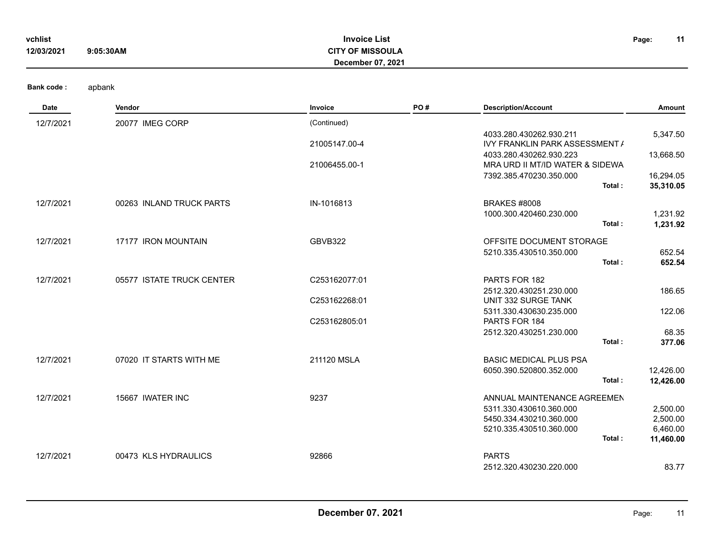| vchlist    |           | <b>Invoice List</b>      | Page: | 11 |
|------------|-----------|--------------------------|-------|----|
| 12/03/2021 | 9:05:30AM | <b>CITY OF MISSOULA</b>  |       |    |
|            |           | <b>December 07, 2021</b> |       |    |
|            |           |                          |       |    |

| <b>Date</b> | Vendor                    | Invoice       | PO# | <b>Description/Account</b>                                | Amount               |
|-------------|---------------------------|---------------|-----|-----------------------------------------------------------|----------------------|
| 12/7/2021   | 20077 IMEG CORP           | (Continued)   |     |                                                           |                      |
|             |                           | 21005147.00-4 |     | 4033.280.430262.930.211<br>IVY FRANKLIN PARK ASSESSMENT / | 5,347.50             |
|             |                           |               |     | 4033.280.430262.930.223                                   | 13,668.50            |
|             |                           | 21006455.00-1 |     | MRA URD II MT/ID WATER & SIDEWA                           |                      |
|             |                           |               |     | 7392.385.470230.350.000<br>Total:                         | 16,294.05            |
|             |                           |               |     |                                                           | 35,310.05            |
| 12/7/2021   | 00263 INLAND TRUCK PARTS  | IN-1016813    |     | <b>BRAKES #8008</b>                                       |                      |
|             |                           |               |     | 1000.300.420460.230.000<br>Total:                         | 1,231.92<br>1,231.92 |
|             |                           |               |     |                                                           |                      |
| 12/7/2021   | 17177 IRON MOUNTAIN       | GBVB322       |     | OFFSITE DOCUMENT STORAGE<br>5210.335.430510.350.000       | 652.54               |
|             |                           |               |     | Total:                                                    | 652.54               |
| 12/7/2021   | 05577 ISTATE TRUCK CENTER | C253162077:01 |     | PARTS FOR 182                                             |                      |
|             |                           |               |     | 2512.320.430251.230.000                                   | 186.65               |
|             |                           | C253162268:01 |     | UNIT 332 SURGE TANK                                       |                      |
|             |                           | C253162805:01 |     | 5311.330.430630.235.000<br>PARTS FOR 184                  | 122.06               |
|             |                           |               |     | 2512.320.430251.230.000                                   | 68.35                |
|             |                           |               |     | Total:                                                    | 377.06               |
| 12/7/2021   | 07020 IT STARTS WITH ME   | 211120 MSLA   |     | <b>BASIC MEDICAL PLUS PSA</b>                             |                      |
|             |                           |               |     | 6050.390.520800.352.000                                   | 12,426.00            |
|             |                           |               |     | Total:                                                    | 12,426.00            |
| 12/7/2021   | 15667 IWATER INC          | 9237          |     | ANNUAL MAINTENANCE AGREEMEN                               |                      |
|             |                           |               |     | 5311.330.430610.360.000<br>5450.334.430210.360.000        | 2,500.00<br>2,500.00 |
|             |                           |               |     | 5210.335.430510.360.000                                   | 6,460.00             |
|             |                           |               |     | Total:                                                    | 11,460.00            |
| 12/7/2021   | 00473 KLS HYDRAULICS      | 92866         |     | <b>PARTS</b>                                              |                      |
|             |                           |               |     | 2512.320.430230.220.000                                   | 83.77                |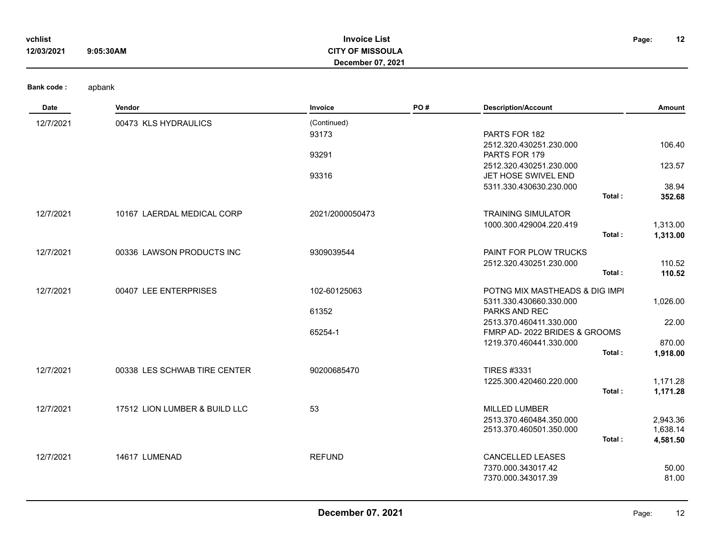| vchlist<br>12/03/2021 | <b>Invoice List</b><br><b>CITY OF MISSOULA</b><br>9:05:30AM<br>December 07, 2021 |             |     |                                          |       | 12              |
|-----------------------|----------------------------------------------------------------------------------|-------------|-----|------------------------------------------|-------|-----------------|
| <b>Bank code:</b>     | apbank                                                                           |             |     |                                          |       |                 |
| Date                  | Vendor                                                                           | Invoice     | PO# | <b>Description/Account</b>               |       | Amount          |
| 12/7/2021             | 00473 KLS HYDRAULICS                                                             | (Continued) |     |                                          |       |                 |
|                       |                                                                                  | 93173       |     | PARTS FOR 182                            |       |                 |
|                       |                                                                                  | 93291       |     | 2512.320.430251.230.000<br>PARTS FOR 179 |       | 106.40          |
|                       |                                                                                  |             |     | 2512.320.430251.230.000                  |       | 123.57          |
|                       |                                                                                  | 93316       |     | JET HOSE SWIVEL END                      |       |                 |
|                       |                                                                                  |             |     | 5311.330.430630.230.000                  | - - - | 38.94<br>------ |

|           |                               |                 | Total:                         | 352.68   |
|-----------|-------------------------------|-----------------|--------------------------------|----------|
| 12/7/2021 | 10167 LAERDAL MEDICAL CORP    | 2021/2000050473 | <b>TRAINING SIMULATOR</b>      |          |
|           |                               |                 | 1000.300.429004.220.419        | 1,313.00 |
|           |                               |                 | Total:                         | 1,313.00 |
| 12/7/2021 | 00336 LAWSON PRODUCTS INC     | 9309039544      | <b>PAINT FOR PLOW TRUCKS</b>   |          |
|           |                               |                 | 2512.320.430251.230.000        | 110.52   |
|           |                               |                 | Total:                         | 110.52   |
| 12/7/2021 | 00407 LEE ENTERPRISES         | 102-60125063    | POTNG MIX MASTHEADS & DIG IMPI |          |
|           |                               |                 | 5311.330.430660.330.000        | 1,026.00 |
|           |                               | 61352           | PARKS AND REC                  |          |
|           |                               |                 | 2513.370.460411.330.000        | 22.00    |
|           |                               | 65254-1         | FMRP AD-2022 BRIDES & GROOMS   |          |
|           |                               |                 | 1219.370.460441.330.000        | 870.00   |
|           |                               |                 | Total:                         | 1,918.00 |
| 12/7/2021 | 00338 LES SCHWAB TIRE CENTER  | 90200685470     | <b>TIRES #3331</b>             |          |
|           |                               |                 | 1225.300.420460.220.000        | 1,171.28 |
|           |                               |                 | Total:                         | 1,171.28 |
| 12/7/2021 | 17512 LION LUMBER & BUILD LLC | 53              | <b>MILLED LUMBER</b>           |          |
|           |                               |                 | 2513.370.460484.350.000        | 2,943.36 |
|           |                               |                 | 2513.370.460501.350.000        | 1,638.14 |
|           |                               |                 | Total:                         | 4,581.50 |
| 12/7/2021 | 14617 LUMENAD                 | <b>REFUND</b>   | <b>CANCELLED LEASES</b>        |          |
|           |                               |                 | 7370.000.343017.42             | 50.00    |
|           |                               |                 | 7370.000.343017.39             | 81.00    |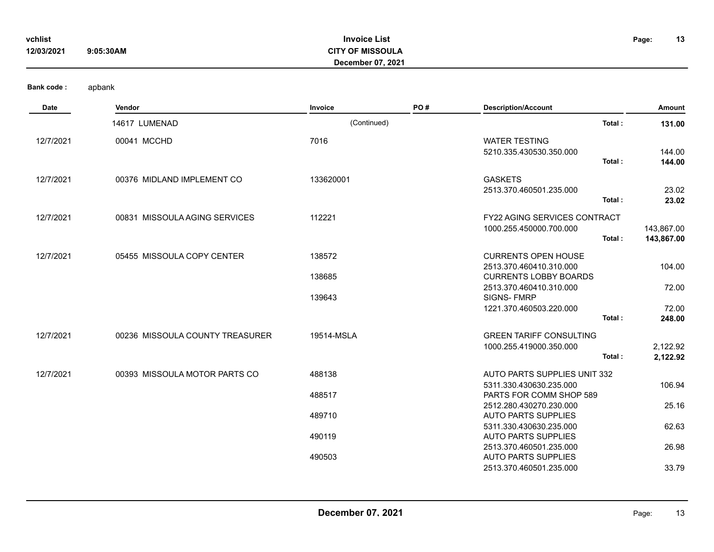| vchlist<br>12/03/2021 | 9:05:30AM | <b>Invoice List</b><br><b>CITY OF MISSOULA</b><br><b>December 07, 2021</b> | Page: | 13 |
|-----------------------|-----------|----------------------------------------------------------------------------|-------|----|
| <b>Bank code:</b>     | apbank    |                                                                            |       |    |

| <b>Date</b> | Vendor                          | Invoice          | PO# | <b>Description/Account</b>                                                            | Amount                   |
|-------------|---------------------------------|------------------|-----|---------------------------------------------------------------------------------------|--------------------------|
|             | 14617 LUMENAD                   | (Continued)      |     | Total:                                                                                | 131.00                   |
| 12/7/2021   | 00041 MCCHD                     | 7016             |     | <b>WATER TESTING</b><br>5210.335.430530.350.000<br>Total:                             | 144.00<br>144.00         |
| 12/7/2021   | 00376 MIDLAND IMPLEMENT CO      | 133620001        |     | <b>GASKETS</b><br>2513.370.460501.235.000<br>Total:                                   | 23.02<br>23.02           |
| 12/7/2021   | 00831 MISSOULA AGING SERVICES   | 112221           |     | <b>FY22 AGING SERVICES CONTRACT</b><br>1000.255.450000.700.000<br>Total:              | 143,867.00<br>143,867.00 |
| 12/7/2021   | 05455 MISSOULA COPY CENTER      | 138572<br>138685 |     | <b>CURRENTS OPEN HOUSE</b><br>2513.370.460410.310.000<br><b>CURRENTS LOBBY BOARDS</b> | 104.00                   |
|             |                                 | 139643           |     | 2513.370.460410.310.000<br>SIGNS-FMRP<br>1221.370.460503.220.000<br>Total:            | 72.00<br>72.00<br>248.00 |
| 12/7/2021   | 00236 MISSOULA COUNTY TREASURER | 19514-MSLA       |     | <b>GREEN TARIFF CONSULTING</b><br>1000.255.419000.350.000<br>Total:                   | 2,122.92<br>2,122.92     |
| 12/7/2021   | 00393 MISSOULA MOTOR PARTS CO   | 488138           |     | AUTO PARTS SUPPLIES UNIT 332<br>5311.330.430630.235.000                               | 106.94                   |
|             |                                 | 488517           |     | PARTS FOR COMM SHOP 589<br>2512.280.430270.230.000                                    | 25.16                    |
|             |                                 | 489710<br>490119 |     | <b>AUTO PARTS SUPPLIES</b><br>5311.330.430630.235.000<br><b>AUTO PARTS SUPPLIES</b>   | 62.63                    |
|             |                                 | 490503           |     | 2513.370.460501.235.000<br><b>AUTO PARTS SUPPLIES</b>                                 | 26.98                    |
|             |                                 |                  |     | 2513.370.460501.235.000                                                               | 33.79                    |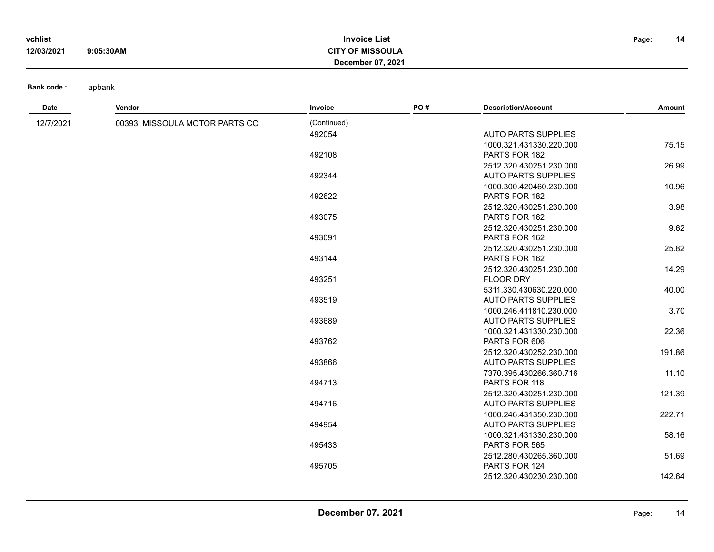| vchlist    |           | <b>Invoice List</b>     | Page: | 14 |
|------------|-----------|-------------------------|-------|----|
| 12/03/2021 | 9:05:30AM | <b>CITY OF MISSOULA</b> |       |    |
|            |           | December 07, 2021       |       |    |

| Date      | Vendor                        | Invoice     | PO# | <b>Description/Account</b>                            | Amount |
|-----------|-------------------------------|-------------|-----|-------------------------------------------------------|--------|
| 12/7/2021 | 00393 MISSOULA MOTOR PARTS CO | (Continued) |     |                                                       |        |
|           |                               | 492054      |     | <b>AUTO PARTS SUPPLIES</b>                            |        |
|           |                               |             |     | 1000.321.431330.220.000                               | 75.15  |
|           |                               | 492108      |     | PARTS FOR 182                                         |        |
|           |                               |             |     | 2512.320.430251.230.000                               | 26.99  |
|           |                               | 492344      |     | <b>AUTO PARTS SUPPLIES</b>                            |        |
|           |                               |             |     | 1000.300.420460.230.000                               | 10.96  |
|           |                               | 492622      |     | PARTS FOR 182                                         |        |
|           |                               |             |     | 2512.320.430251.230.000                               | 3.98   |
|           |                               | 493075      |     | PARTS FOR 162                                         |        |
|           |                               |             |     | 2512.320.430251.230.000                               | 9.62   |
|           |                               | 493091      |     | PARTS FOR 162                                         | 25.82  |
|           |                               | 493144      |     | 2512.320.430251.230.000<br>PARTS FOR 162              |        |
|           |                               |             |     | 2512.320.430251.230.000                               | 14.29  |
|           |                               | 493251      |     | <b>FLOOR DRY</b>                                      |        |
|           |                               |             |     | 5311.330.430630.220.000                               | 40.00  |
|           |                               | 493519      |     | <b>AUTO PARTS SUPPLIES</b>                            |        |
|           |                               |             |     | 1000.246.411810.230.000                               | 3.70   |
|           |                               | 493689      |     | <b>AUTO PARTS SUPPLIES</b>                            |        |
|           |                               |             |     | 1000.321.431330.230.000                               | 22.36  |
|           |                               | 493762      |     | PARTS FOR 606                                         |        |
|           |                               |             |     | 2512.320.430252.230.000                               | 191.86 |
|           |                               | 493866      |     | <b>AUTO PARTS SUPPLIES</b>                            |        |
|           |                               |             |     | 7370.395.430266.360.716                               | 11.10  |
|           |                               | 494713      |     | PARTS FOR 118                                         |        |
|           |                               |             |     | 2512.320.430251.230.000                               | 121.39 |
|           |                               | 494716      |     | <b>AUTO PARTS SUPPLIES</b>                            |        |
|           |                               |             |     | 1000.246.431350.230.000<br><b>AUTO PARTS SUPPLIES</b> | 222.71 |
|           |                               | 494954      |     | 1000.321.431330.230.000                               | 58.16  |
|           |                               | 495433      |     | PARTS FOR 565                                         |        |
|           |                               |             |     | 2512.280.430265.360.000                               | 51.69  |
|           |                               | 495705      |     | PARTS FOR 124                                         |        |
|           |                               |             |     | 2512.320.430230.230.000                               | 142.64 |
|           |                               |             |     |                                                       |        |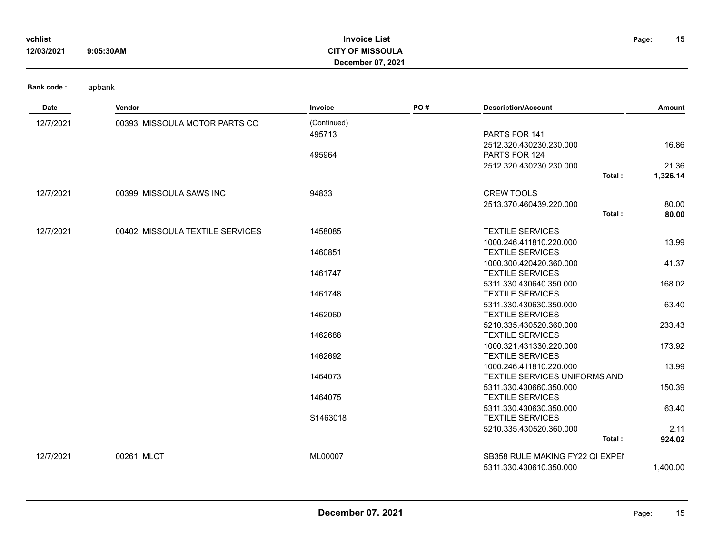| vchlist    |           | <b>Invoice List</b>      | Page: | 15 |
|------------|-----------|--------------------------|-------|----|
| 12/03/2021 | 9:05:30AM | <b>CITY OF MISSOULA</b>  |       |    |
|            |           | <b>December 07, 2021</b> |       |    |

**Date Vendor Invoice PO # Description/Account Amount**

**Bank code :** apbank

12/7/2021 00393 MISSOULA MOTOR PARTS CO (Continued) 495713 PARTS FOR 141 2512.320.430230.230.000 16.86 495964 PARTS FOR 124 2512.320.430230.230.000 21.36 **Total : 1,326.14** 12/7/2021 00399 MISSOULA SAWS INC 94833 CREW TOOLS 2513.370.460439.220.000 80.00 **Total : 80.00** 12/7/2021 00402 MISSOULA TEXTILE SERVICES 1458085 TEXTILE SERVICES 1000.246.411810.220.000 13.99 1460851 TEXTILE SERVICES 1000.300.420420.360.000 41.37 1461747 TEXTILE SERVICES 5311.330.430640.350.000 168.02 1461748 TEXTILE SERVICES 5311.330.430630.350.000 63.40 1462060 TEXTILE SERVICES 5210.335.430520.360.000 233.43 1462688 TEXTILE SERVICES 1000.321.431330.220.000 173.92 1462692 TEXTILE SERVICES 1000.246.411810.220.000 13.99 1464073 TEXTILE SERVICES UNIFORMS AND 5311.330.430660.350.000 150.39 1464075 TEXTILE SERVICES 5311.330.430630.350.000 63.40

12/7/2021 00261 MLCT 100261 00261 MLCT 12/7/2021 00261 ML00007 ML00007 NL00007 SB358 RULE MAKING FY22 QI EXPEI

**December 07, 2021 Page:** 15

S1463018 TEXTILE SERVICES

**Total : 924.02**

5210.335.430520.360.000 2.11

5311.330.430610.350.000 1,400.00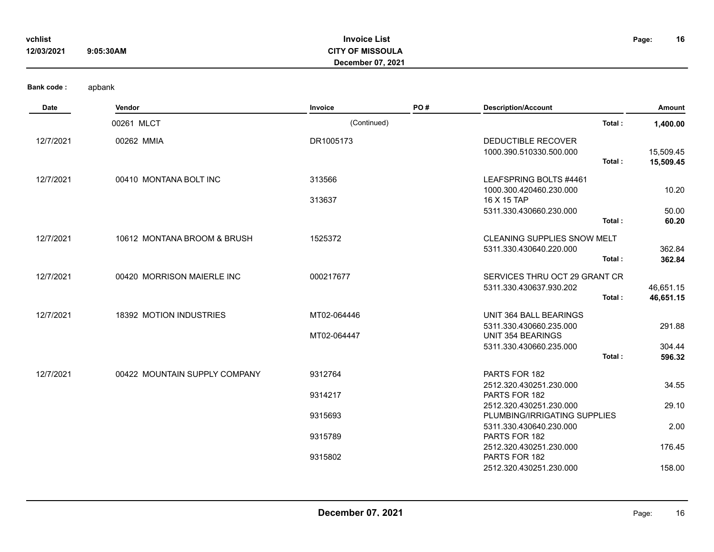| vchlist    |           | <b>Invoice List</b>     | Page: | 16 |
|------------|-----------|-------------------------|-------|----|
| 12/03/2021 | 9:05:30AM | <b>CITY OF MISSOULA</b> |       |    |
|            |           | December 07, 2021       |       |    |
|            |           |                         |       |    |

| Date      | Vendor                        | Invoice                    | PO# | <b>Description/Account</b>                                              | Amount                 |
|-----------|-------------------------------|----------------------------|-----|-------------------------------------------------------------------------|------------------------|
|           | 00261 MLCT                    | (Continued)                |     | Total:                                                                  | 1,400.00               |
| 12/7/2021 | 00262 MMIA                    | DR1005173                  |     | DEDUCTIBLE RECOVER<br>1000.390.510330.500.000<br>Total:                 | 15,509.45<br>15,509.45 |
| 12/7/2021 | 00410 MONTANA BOLT INC        | 313566<br>313637           |     | LEAFSPRING BOLTS #4461<br>1000.300.420460.230.000<br>16 X 15 TAP        | 10.20                  |
|           |                               |                            |     | 5311.330.430660.230.000<br>Total:                                       | 50.00<br>60.20         |
| 12/7/2021 | 10612 MONTANA BROOM & BRUSH   | 1525372                    |     | <b>CLEANING SUPPLIES SNOW MELT</b><br>5311.330.430640.220.000<br>Total: | 362.84<br>362.84       |
| 12/7/2021 | 00420 MORRISON MAIERLE INC    | 000217677                  |     | SERVICES THRU OCT 29 GRANT CR<br>5311.330.430637.930.202<br>Total:      | 46,651.15<br>46,651.15 |
| 12/7/2021 | 18392 MOTION INDUSTRIES       | MT02-064446<br>MT02-064447 |     | UNIT 364 BALL BEARINGS<br>5311.330.430660.235.000<br>UNIT 354 BEARINGS  | 291.88                 |
|           |                               |                            |     | 5311.330.430660.235.000<br>Total:                                       | 304.44<br>596.32       |
| 12/7/2021 | 00422 MOUNTAIN SUPPLY COMPANY | 9312764                    |     | PARTS FOR 182<br>2512.320.430251.230.000                                | 34.55                  |
|           |                               | 9314217                    |     | PARTS FOR 182<br>2512.320.430251.230.000                                | 29.10                  |
|           |                               | 9315693                    |     | PLUMBING/IRRIGATING SUPPLIES<br>5311.330.430640.230.000                 | 2.00                   |
|           |                               | 9315789                    |     | PARTS FOR 182<br>2512.320.430251.230.000                                | 176.45                 |
|           |                               | 9315802                    |     | PARTS FOR 182<br>2512.320.430251.230.000                                | 158.00                 |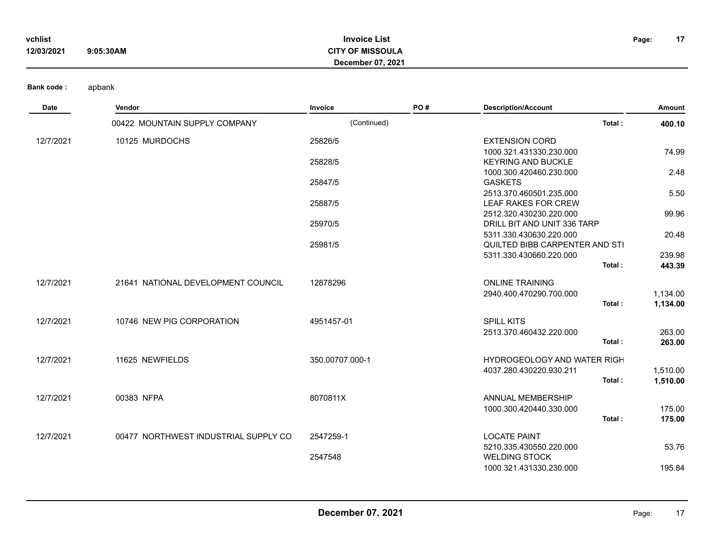| vchlist    |           | <b>Invoice List</b>      | Page: | 17 |
|------------|-----------|--------------------------|-------|----|
| 12/03/2021 | 9:05:30AM | <b>CITY OF MISSOULA</b>  |       |    |
|            |           | <b>December 07, 2021</b> |       |    |

| Date      | Vendor                               | Invoice         | PO# | <b>Description/Account</b>                                | Amount   |
|-----------|--------------------------------------|-----------------|-----|-----------------------------------------------------------|----------|
|           | 00422 MOUNTAIN SUPPLY COMPANY        | (Continued)     |     | Total:                                                    | 400.10   |
| 12/7/2021 | 10125 MURDOCHS                       | 25826/5         |     | <b>EXTENSION CORD</b>                                     |          |
|           |                                      |                 |     | 1000.321.431330.230.000                                   | 74.99    |
|           |                                      | 25828/5         |     | <b>KEYRING AND BUCKLE</b>                                 |          |
|           |                                      |                 |     | 1000.300.420460.230.000                                   | 2.48     |
|           |                                      | 25847/5         |     | <b>GASKETS</b>                                            |          |
|           |                                      |                 |     | 2513.370.460501.235.000                                   | 5.50     |
|           |                                      | 25887/5         |     | LEAF RAKES FOR CREW                                       |          |
|           |                                      |                 |     | 2512.320.430230.220.000                                   | 99.96    |
|           |                                      | 25970/5         |     | DRILL BIT AND UNIT 336 TARP                               |          |
|           |                                      | 25981/5         |     | 5311.330.430630.220.000<br>QUILTED BIBB CARPENTER AND STI | 20.48    |
|           |                                      |                 |     | 5311.330.430660.220.000                                   | 239.98   |
|           |                                      |                 |     | Total:                                                    | 443.39   |
|           |                                      |                 |     |                                                           |          |
| 12/7/2021 | 21641 NATIONAL DEVELOPMENT COUNCIL   | 12878296        |     | <b>ONLINE TRAINING</b>                                    |          |
|           |                                      |                 |     | 2940.400.470290.700.000                                   | 1,134.00 |
|           |                                      |                 |     | Total:                                                    | 1,134.00 |
| 12/7/2021 | 10746 NEW PIG CORPORATION            | 4951457-01      |     | <b>SPILL KITS</b>                                         |          |
|           |                                      |                 |     | 2513.370.460432.220.000                                   | 263.00   |
|           |                                      |                 |     | Total:                                                    | 263.00   |
| 12/7/2021 | 11625 NEWFIELDS                      | 350.00707.000-1 |     | <b>HYDROGEOLOGY AND WATER RIGH</b>                        |          |
|           |                                      |                 |     | 4037.280.430220.930.211                                   | 1,510.00 |
|           |                                      |                 |     | Total:                                                    | 1,510.00 |
| 12/7/2021 | 00383 NFPA                           | 8070811X        |     | ANNUAL MEMBERSHIP                                         |          |
|           |                                      |                 |     | 1000.300.420440.330.000                                   | 175.00   |
|           |                                      |                 |     | Total:                                                    | 175.00   |
| 12/7/2021 | 00477 NORTHWEST INDUSTRIAL SUPPLY CO | 2547259-1       |     | <b>LOCATE PAINT</b>                                       |          |
|           |                                      |                 |     | 5210.335.430550.220.000                                   | 53.76    |
|           |                                      | 2547548         |     | <b>WELDING STOCK</b>                                      |          |
|           |                                      |                 |     | 1000.321.431330.230.000                                   | 195.84   |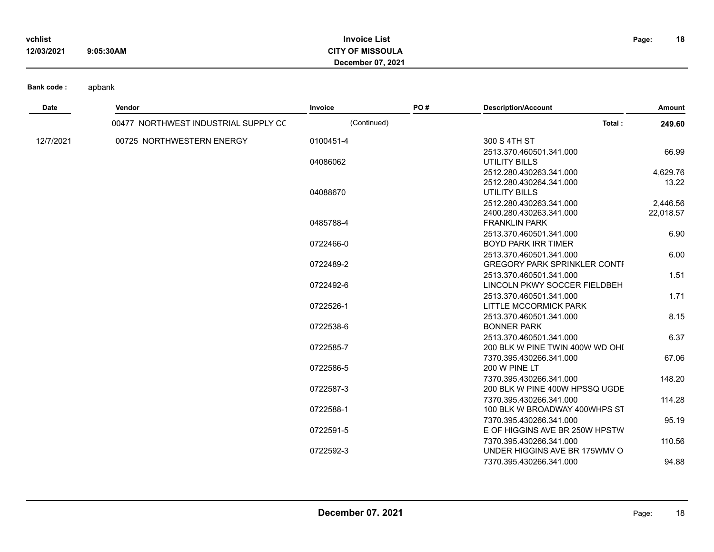| vchlist    |           | <b>Invoice List</b>     | Page: |
|------------|-----------|-------------------------|-------|
| 12/03/2021 | 9:05:30AM | <b>CITY OF MISSOULA</b> |       |
|            |           | December 07, 2021       |       |

| <b>Date</b> | Vendor                               | Invoice     | PO# | <b>Description/Account</b>          | Amount    |
|-------------|--------------------------------------|-------------|-----|-------------------------------------|-----------|
|             | 00477 NORTHWEST INDUSTRIAL SUPPLY CC | (Continued) |     | Total:                              | 249.60    |
| 12/7/2021   | 00725 NORTHWESTERN ENERGY            | 0100451-4   |     | 300 S 4TH ST                        |           |
|             |                                      |             |     | 2513.370.460501.341.000             | 66.99     |
|             |                                      | 04086062    |     | UTILITY BILLS                       |           |
|             |                                      |             |     | 2512.280.430263.341.000             | 4,629.76  |
|             |                                      |             |     | 2512.280.430264.341.000             | 13.22     |
|             |                                      | 04088670    |     | <b>UTILITY BILLS</b>                |           |
|             |                                      |             |     | 2512.280.430263.341.000             | 2,446.56  |
|             |                                      |             |     | 2400.280.430263.341.000             | 22,018.57 |
|             |                                      | 0485788-4   |     | <b>FRANKLIN PARK</b>                |           |
|             |                                      |             |     | 2513.370.460501.341.000             | 6.90      |
|             |                                      | 0722466-0   |     | <b>BOYD PARK IRR TIMER</b>          |           |
|             |                                      |             |     | 2513.370.460501.341.000             | 6.00      |
|             |                                      | 0722489-2   |     | <b>GREGORY PARK SPRINKLER CONTI</b> |           |
|             |                                      |             |     | 2513.370.460501.341.000             | 1.51      |
|             |                                      | 0722492-6   |     | LINCOLN PKWY SOCCER FIELDBEH        |           |
|             |                                      |             |     | 2513.370.460501.341.000             | 1.71      |
|             |                                      | 0722526-1   |     | LITTLE MCCORMICK PARK               |           |
|             |                                      |             |     | 2513.370.460501.341.000             | 8.15      |
|             |                                      | 0722538-6   |     | <b>BONNER PARK</b>                  |           |
|             |                                      |             |     | 2513.370.460501.341.000             | 6.37      |
|             |                                      | 0722585-7   |     | 200 BLK W PINE TWIN 400W WD OHI     |           |
|             |                                      |             |     | 7370.395.430266.341.000             | 67.06     |
|             |                                      | 0722586-5   |     | 200 W PINE LT                       |           |
|             |                                      |             |     | 7370.395.430266.341.000             | 148.20    |
|             |                                      | 0722587-3   |     | 200 BLK W PINE 400W HPSSQ UGDE      |           |
|             |                                      |             |     | 7370.395.430266.341.000             | 114.28    |
|             |                                      | 0722588-1   |     | 100 BLK W BROADWAY 400WHPS ST       |           |
|             |                                      |             |     | 7370.395.430266.341.000             | 95.19     |
|             |                                      | 0722591-5   |     | E OF HIGGINS AVE BR 250W HPSTW      |           |
|             |                                      |             |     | 7370.395.430266.341.000             | 110.56    |
|             |                                      | 0722592-3   |     | UNDER HIGGINS AVE BR 175WMV O       |           |
|             |                                      |             |     | 7370.395.430266.341.000             | 94.88     |

**18**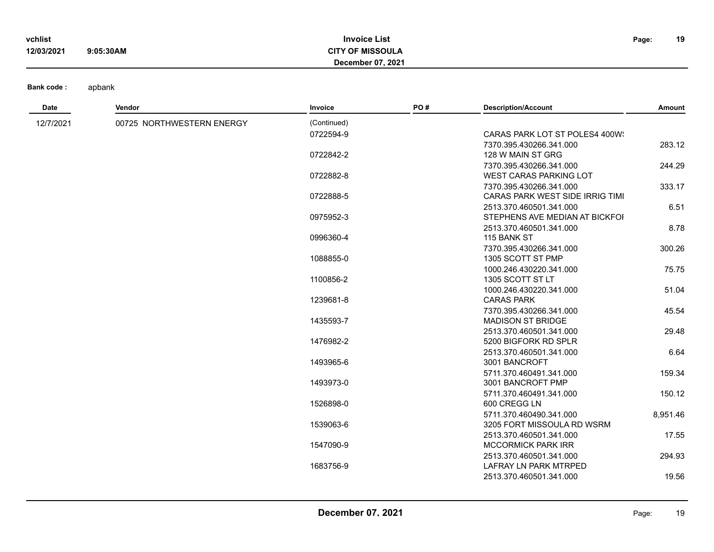| vchlist    |           | <b>Invoice List</b>      | Page: | 19 |
|------------|-----------|--------------------------|-------|----|
| 12/03/2021 | 9:05:30AM | <b>CITY OF MISSOULA</b>  |       |    |
|            |           | <b>December 07, 2021</b> |       |    |

| Date      | Vendor                    | Invoice     | PO# | <b>Description/Account</b>                   | Amount   |
|-----------|---------------------------|-------------|-----|----------------------------------------------|----------|
| 12/7/2021 | 00725 NORTHWESTERN ENERGY | (Continued) |     |                                              |          |
|           |                           | 0722594-9   |     | CARAS PARK LOT ST POLES4 400W                |          |
|           |                           |             |     | 7370.395.430266.341.000                      | 283.12   |
|           |                           | 0722842-2   |     | 128 W MAIN ST GRG                            |          |
|           |                           |             |     | 7370.395.430266.341.000                      | 244.29   |
|           |                           | 0722882-8   |     | <b>WEST CARAS PARKING LOT</b>                |          |
|           |                           |             |     | 7370.395.430266.341.000                      | 333.17   |
|           |                           | 0722888-5   |     | CARAS PARK WEST SIDE IRRIG TIMI              |          |
|           |                           |             |     | 2513.370.460501.341.000                      | 6.51     |
|           |                           | 0975952-3   |     | STEPHENS AVE MEDIAN AT BICKFOI               |          |
|           |                           |             |     | 2513.370.460501.341.000                      | 8.78     |
|           |                           | 0996360-4   |     | 115 BANK ST                                  |          |
|           |                           |             |     | 7370.395.430266.341.000                      | 300.26   |
|           |                           | 1088855-0   |     | 1305 SCOTT ST PMP                            |          |
|           |                           |             |     | 1000.246.430220.341.000                      | 75.75    |
|           |                           | 1100856-2   |     | 1305 SCOTT ST LT                             |          |
|           |                           |             |     | 1000.246.430220.341.000                      | 51.04    |
|           |                           | 1239681-8   |     | <b>CARAS PARK</b>                            |          |
|           |                           |             |     | 7370.395.430266.341.000                      | 45.54    |
|           |                           | 1435593-7   |     | <b>MADISON ST BRIDGE</b>                     |          |
|           |                           |             |     | 2513.370.460501.341.000                      | 29.48    |
|           |                           | 1476982-2   |     | 5200 BIGFORK RD SPLR                         |          |
|           |                           |             |     | 2513.370.460501.341.000                      | 6.64     |
|           |                           | 1493965-6   |     | 3001 BANCROFT                                |          |
|           |                           | 1493973-0   |     | 5711.370.460491.341.000<br>3001 BANCROFT PMP | 159.34   |
|           |                           |             |     | 5711.370.460491.341.000                      | 150.12   |
|           |                           | 1526898-0   |     | 600 CREGG LN                                 |          |
|           |                           |             |     | 5711.370.460490.341.000                      | 8,951.46 |
|           |                           | 1539063-6   |     | 3205 FORT MISSOULA RD WSRM                   |          |
|           |                           |             |     | 2513.370.460501.341.000                      | 17.55    |
|           |                           | 1547090-9   |     | <b>MCCORMICK PARK IRR</b>                    |          |
|           |                           |             |     | 2513.370.460501.341.000                      | 294.93   |
|           |                           | 1683756-9   |     | <b>LAFRAY LN PARK MTRPED</b>                 |          |
|           |                           |             |     | 2513.370.460501.341.000                      | 19.56    |
|           |                           |             |     |                                              |          |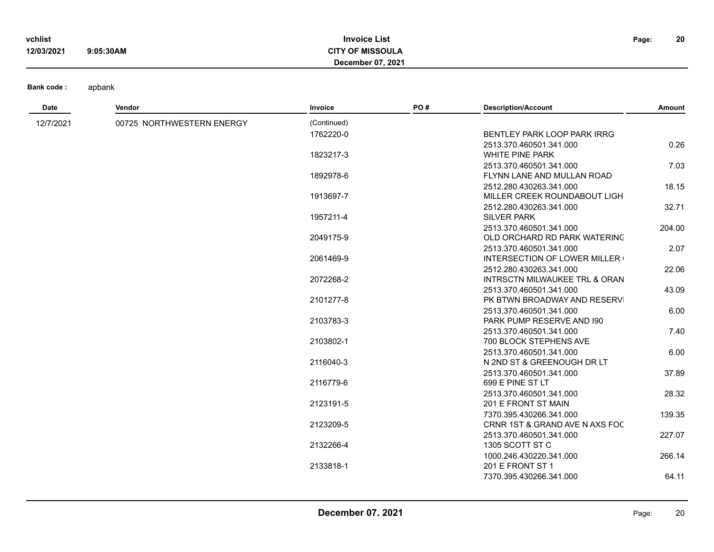| vchlist    |           | <b>Invoice List</b>     | Page: | 20 |
|------------|-----------|-------------------------|-------|----|
| 12/03/2021 | 9:05:30AM | <b>CITY OF MISSOULA</b> |       |    |
|            |           | December 07, 2021       |       |    |

| Date      | Vendor                    | Invoice     | PO# | <b>Description/Account</b>          | Amount |
|-----------|---------------------------|-------------|-----|-------------------------------------|--------|
| 12/7/2021 | 00725 NORTHWESTERN ENERGY | (Continued) |     |                                     |        |
|           |                           | 1762220-0   |     | BENTLEY PARK LOOP PARK IRRG         |        |
|           |                           |             |     | 2513.370.460501.341.000             | 0.26   |
|           |                           | 1823217-3   |     | <b>WHITE PINE PARK</b>              |        |
|           |                           |             |     | 2513.370.460501.341.000             | 7.03   |
|           |                           | 1892978-6   |     | FLYNN LANE AND MULLAN ROAD          |        |
|           |                           |             |     | 2512.280.430263.341.000             | 18.15  |
|           |                           | 1913697-7   |     | MILLER CREEK ROUNDABOUT LIGH        |        |
|           |                           |             |     | 2512.280.430263.341.000             | 32.71  |
|           |                           | 1957211-4   |     | <b>SILVER PARK</b>                  |        |
|           |                           |             |     | 2513.370.460501.341.000             | 204.00 |
|           |                           | 2049175-9   |     | OLD ORCHARD RD PARK WATERING        |        |
|           |                           |             |     | 2513.370.460501.341.000             | 2.07   |
|           |                           | 2061469-9   |     | <b>INTERSECTION OF LOWER MILLER</b> |        |
|           |                           |             |     | 2512.280.430263.341.000             | 22.06  |
|           |                           | 2072268-2   |     | INTRSCTN MILWAUKEE TRL & ORAN       |        |
|           |                           |             |     | 2513.370.460501.341.000             | 43.09  |
|           |                           | 2101277-8   |     | PK BTWN BROADWAY AND RESERVI        |        |
|           |                           |             |     | 2513.370.460501.341.000             | 6.00   |
|           |                           | 2103783-3   |     | PARK PUMP RESERVE AND 190           |        |
|           |                           |             |     | 2513.370.460501.341.000             | 7.40   |
|           |                           | 2103802-1   |     | 700 BLOCK STEPHENS AVE              |        |
|           |                           |             |     | 2513.370.460501.341.000             | 6.00   |
|           |                           | 2116040-3   |     | N 2ND ST & GREENOUGH DR LT          |        |
|           |                           |             |     | 2513.370.460501.341.000             | 37.89  |
|           |                           | 2116779-6   |     | 699 E PINE ST LT                    |        |
|           |                           |             |     | 2513.370.460501.341.000             | 28.32  |
|           |                           | 2123191-5   |     | 201 E FRONT ST MAIN                 |        |
|           |                           |             |     | 7370.395.430266.341.000             | 139.35 |
|           |                           | 2123209-5   |     | CRNR 1ST & GRAND AVE N AXS FOC      |        |
|           |                           |             |     | 2513.370.460501.341.000             | 227.07 |
|           |                           | 2132266-4   |     | 1305 SCOTT ST C                     |        |
|           |                           |             |     | 1000.246.430220.341.000             | 266.14 |
|           |                           | 2133818-1   |     | 201 E FRONT ST 1                    |        |
|           |                           |             |     | 7370.395.430266.341.000             | 64.11  |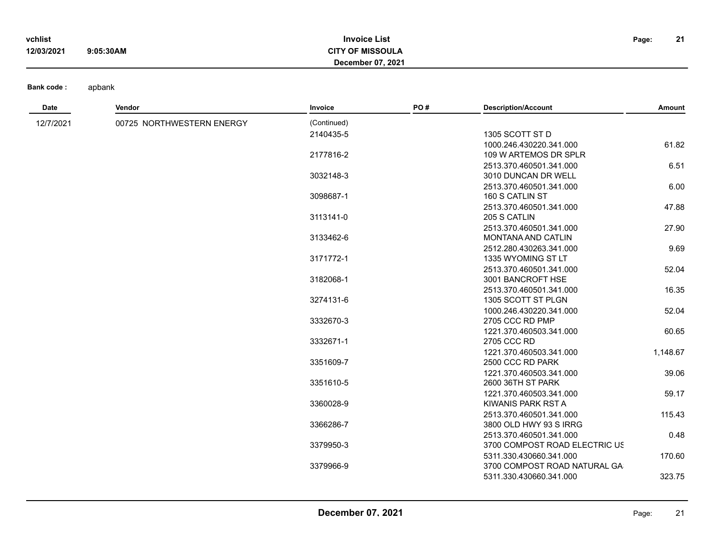| vchlist    |           | <b>Invoice List</b>     | Page: | 21<br><u>41</u> |
|------------|-----------|-------------------------|-------|-----------------|
| 12/03/2021 | 9:05:30AM | <b>CITY OF MISSOULA</b> |       |                 |
|            |           | December 07, 2021       |       |                 |

| Date      | Vendor                    | Invoice     | PO# | <b>Description/Account</b>                   | Amount   |
|-----------|---------------------------|-------------|-----|----------------------------------------------|----------|
| 12/7/2021 | 00725 NORTHWESTERN ENERGY | (Continued) |     |                                              |          |
|           |                           | 2140435-5   |     | 1305 SCOTT ST D                              |          |
|           |                           |             |     | 1000.246.430220.341.000                      | 61.82    |
|           |                           | 2177816-2   |     | 109 W ARTEMOS DR SPLR                        |          |
|           |                           |             |     | 2513.370.460501.341.000                      | 6.51     |
|           |                           | 3032148-3   |     | 3010 DUNCAN DR WELL                          |          |
|           |                           |             |     | 2513.370.460501.341.000                      | 6.00     |
|           |                           | 3098687-1   |     | 160 S CATLIN ST                              |          |
|           |                           |             |     | 2513.370.460501.341.000                      | 47.88    |
|           |                           | 3113141-0   |     | 205 S CATLIN                                 |          |
|           |                           |             |     | 2513.370.460501.341.000                      | 27.90    |
|           |                           | 3133462-6   |     | MONTANA AND CATLIN                           |          |
|           |                           |             |     | 2512.280.430263.341.000                      | 9.69     |
|           |                           | 3171772-1   |     | 1335 WYOMING ST LT                           |          |
|           |                           |             |     | 2513.370.460501.341.000                      | 52.04    |
|           |                           | 3182068-1   |     | 3001 BANCROFT HSE                            |          |
|           |                           |             |     | 2513.370.460501.341.000                      | 16.35    |
|           |                           | 3274131-6   |     | 1305 SCOTT ST PLGN                           |          |
|           |                           |             |     | 1000.246.430220.341.000                      | 52.04    |
|           |                           | 3332670-3   |     | 2705 CCC RD PMP                              |          |
|           |                           |             |     | 1221.370.460503.341.000                      | 60.65    |
|           |                           | 3332671-1   |     | 2705 CCC RD                                  |          |
|           |                           | 3351609-7   |     | 1221.370.460503.341.000<br>2500 CCC RD PARK  | 1,148.67 |
|           |                           |             |     |                                              |          |
|           |                           | 3351610-5   |     | 1221.370.460503.341.000<br>2600 36TH ST PARK | 39.06    |
|           |                           |             |     | 1221.370.460503.341.000                      |          |
|           |                           | 3360028-9   |     | KIWANIS PARK RST A                           | 59.17    |
|           |                           |             |     | 2513.370.460501.341.000                      | 115.43   |
|           |                           | 3366286-7   |     | 3800 OLD HWY 93 S IRRG                       |          |
|           |                           |             |     | 2513.370.460501.341.000                      | 0.48     |
|           |                           | 3379950-3   |     | 3700 COMPOST ROAD ELECTRIC US                |          |
|           |                           |             |     | 5311.330.430660.341.000                      | 170.60   |
|           |                           | 3379966-9   |     | 3700 COMPOST ROAD NATURAL GA                 |          |
|           |                           |             |     | 5311.330.430660.341.000                      | 323.75   |
|           |                           |             |     |                                              |          |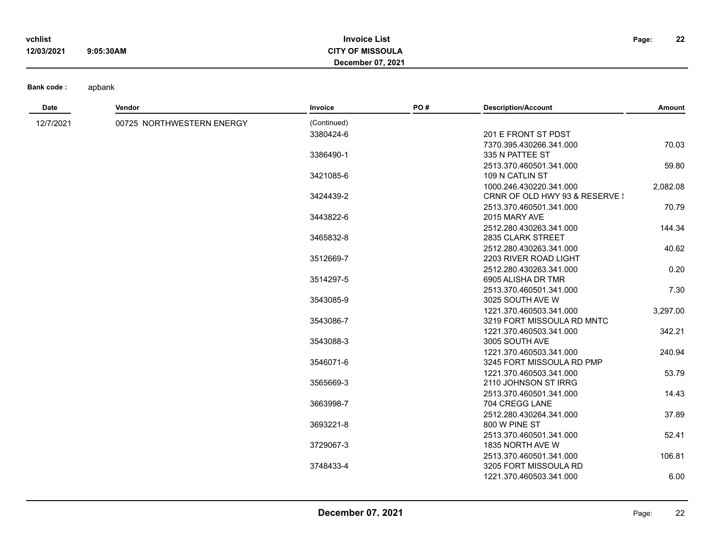| vchlist    |           | <b>Invoice List</b>     | Page: | 22 |
|------------|-----------|-------------------------|-------|----|
| 12/03/2021 | 9:05:30AM | <b>CITY OF MISSOULA</b> |       |    |
|            |           | December 07, 2021       |       |    |

| Date      | Vendor                    | Invoice     | PO# | <b>Description/Account</b>     | Amount   |
|-----------|---------------------------|-------------|-----|--------------------------------|----------|
| 12/7/2021 | 00725 NORTHWESTERN ENERGY | (Continued) |     |                                |          |
|           |                           | 3380424-6   |     | 201 E FRONT ST PDST            |          |
|           |                           |             |     | 7370.395.430266.341.000        | 70.03    |
|           |                           | 3386490-1   |     | 335 N PATTEE ST                |          |
|           |                           |             |     | 2513.370.460501.341.000        | 59.80    |
|           |                           | 3421085-6   |     | 109 N CATLIN ST                |          |
|           |                           |             |     | 1000.246.430220.341.000        | 2,082.08 |
|           |                           | 3424439-2   |     | CRNR OF OLD HWY 93 & RESERVE ! |          |
|           |                           |             |     | 2513.370.460501.341.000        | 70.79    |
|           |                           | 3443822-6   |     | 2015 MARY AVE                  |          |
|           |                           |             |     | 2512.280.430263.341.000        | 144.34   |
|           |                           | 3465832-8   |     | 2835 CLARK STREET              |          |
|           |                           |             |     | 2512.280.430263.341.000        | 40.62    |
|           |                           | 3512669-7   |     | 2203 RIVER ROAD LIGHT          |          |
|           |                           |             |     | 2512.280.430263.341.000        | 0.20     |
|           |                           | 3514297-5   |     | 6905 ALISHA DR TMR             |          |
|           |                           |             |     | 2513.370.460501.341.000        | 7.30     |
|           |                           | 3543085-9   |     | 3025 SOUTH AVE W               |          |
|           |                           |             |     | 1221.370.460503.341.000        | 3,297.00 |
|           |                           | 3543086-7   |     | 3219 FORT MISSOULA RD MNTC     |          |
|           |                           |             |     | 1221.370.460503.341.000        | 342.21   |
|           |                           | 3543088-3   |     | 3005 SOUTH AVE                 |          |
|           |                           |             |     | 1221.370.460503.341.000        | 240.94   |
|           |                           | 3546071-6   |     | 3245 FORT MISSOULA RD PMP      |          |
|           |                           |             |     | 1221.370.460503.341.000        | 53.79    |
|           |                           | 3565669-3   |     | 2110 JOHNSON ST IRRG           |          |
|           |                           |             |     | 2513.370.460501.341.000        | 14.43    |
|           |                           | 3663998-7   |     | 704 CREGG LANE                 |          |
|           |                           |             |     | 2512.280.430264.341.000        | 37.89    |
|           |                           | 3693221-8   |     | 800 W PINE ST                  |          |
|           |                           |             |     | 2513.370.460501.341.000        | 52.41    |
|           |                           | 3729067-3   |     | 1835 NORTH AVE W               |          |
|           |                           |             |     | 2513.370.460501.341.000        | 106.81   |
|           |                           | 3748433-4   |     | 3205 FORT MISSOULA RD          |          |
|           |                           |             |     | 1221.370.460503.341.000        | 6.00     |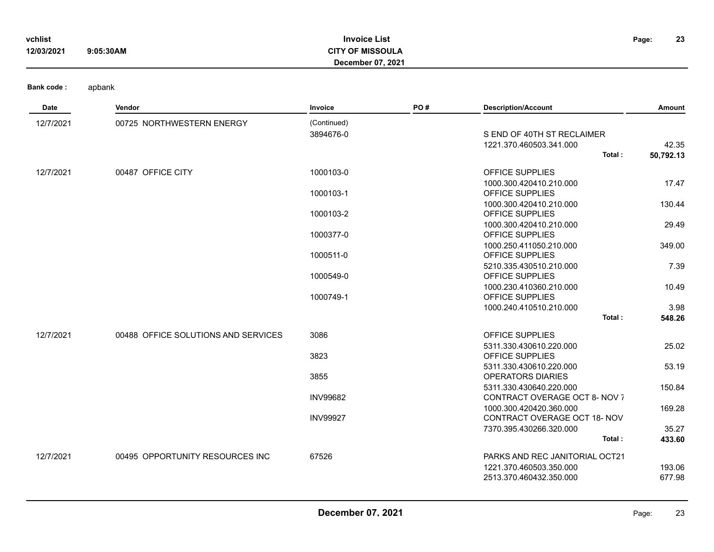| vchlist    |           | <b>Invoice List</b>      | Page: | 23 |
|------------|-----------|--------------------------|-------|----|
| 12/03/2021 | 9:05:30AM | <b>CITY OF MISSOULA</b>  |       |    |
|            |           | <b>December 07, 2021</b> |       |    |

| Date      | Vendor                              | Invoice         | PO# | <b>Description/Account</b>                        | Amount    |
|-----------|-------------------------------------|-----------------|-----|---------------------------------------------------|-----------|
| 12/7/2021 | 00725 NORTHWESTERN ENERGY           | (Continued)     |     |                                                   |           |
|           |                                     | 3894676-0       |     | S END OF 40TH ST RECLAIMER                        |           |
|           |                                     |                 |     | 1221.370.460503.341.000                           | 42.35     |
|           |                                     |                 |     | Total:                                            | 50,792.13 |
| 12/7/2021 | 00487 OFFICE CITY                   | 1000103-0       |     | OFFICE SUPPLIES                                   |           |
|           |                                     |                 |     | 1000.300.420410.210.000                           | 17.47     |
|           |                                     | 1000103-1       |     | OFFICE SUPPLIES                                   |           |
|           |                                     |                 |     | 1000.300.420410.210.000                           | 130.44    |
|           |                                     | 1000103-2       |     | OFFICE SUPPLIES                                   |           |
|           |                                     |                 |     | 1000.300.420410.210.000                           | 29.49     |
|           |                                     | 1000377-0       |     | OFFICE SUPPLIES                                   |           |
|           |                                     |                 |     | 1000.250.411050.210.000                           | 349.00    |
|           |                                     | 1000511-0       |     | OFFICE SUPPLIES                                   |           |
|           |                                     | 1000549-0       |     | 5210.335.430510.210.000<br>OFFICE SUPPLIES        | 7.39      |
|           |                                     |                 |     | 1000.230.410360.210.000                           | 10.49     |
|           |                                     | 1000749-1       |     | OFFICE SUPPLIES                                   |           |
|           |                                     |                 |     | 1000.240.410510.210.000                           | 3.98      |
|           |                                     |                 |     | Total:                                            | 548.26    |
|           |                                     |                 |     |                                                   |           |
| 12/7/2021 | 00488 OFFICE SOLUTIONS AND SERVICES | 3086            |     | OFFICE SUPPLIES                                   |           |
|           |                                     | 3823            |     | 5311.330.430610.220.000<br><b>OFFICE SUPPLIES</b> | 25.02     |
|           |                                     |                 |     | 5311.330.430610.220.000                           | 53.19     |
|           |                                     | 3855            |     | <b>OPERATORS DIARIES</b>                          |           |
|           |                                     |                 |     | 5311.330.430640.220.000                           | 150.84    |
|           |                                     | <b>INV99682</b> |     | CONTRACT OVERAGE OCT 8- NOV 7                     |           |
|           |                                     |                 |     | 1000.300.420420.360.000                           | 169.28    |
|           |                                     | <b>INV99927</b> |     | CONTRACT OVERAGE OCT 18- NOV                      |           |
|           |                                     |                 |     | 7370.395.430266.320.000                           | 35.27     |
|           |                                     |                 |     | Total:                                            | 433.60    |
| 12/7/2021 | 00495 OPPORTUNITY RESOURCES INC     | 67526           |     | PARKS AND REC JANITORIAL OCT21                    |           |
|           |                                     |                 |     | 1221.370.460503.350.000                           | 193.06    |
|           |                                     |                 |     | 2513.370.460432.350.000                           | 677.98    |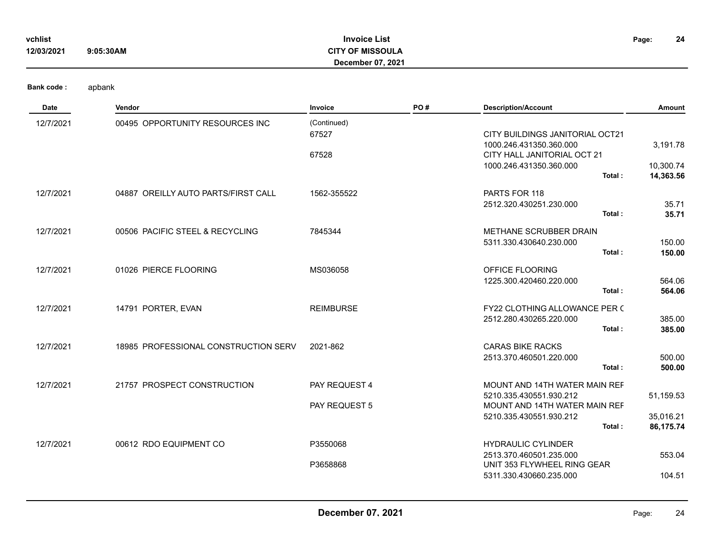| vchlist    |           | <b>Invoice List</b>     | Page: | 24 |
|------------|-----------|-------------------------|-------|----|
| 12/03/2021 | 9:05:30AM | <b>CITY OF MISSOULA</b> |       |    |
|            |           | December 07, 2021       |       |    |

| <b>Date</b> | Vendor                               | Invoice              | PO# | <b>Description/Account</b>                               | Amount           |
|-------------|--------------------------------------|----------------------|-----|----------------------------------------------------------|------------------|
| 12/7/2021   | 00495 OPPORTUNITY RESOURCES INC      | (Continued)<br>67527 |     | CITY BUILDINGS JANITORIAL OCT21                          |                  |
|             |                                      | 67528                |     | 1000.246.431350.360.000<br>CITY HALL JANITORIAL OCT 21   | 3,191.78         |
|             |                                      |                      |     | 1000.246.431350.360.000                                  | 10,300.74        |
|             |                                      |                      |     | Total:                                                   | 14,363.56        |
| 12/7/2021   | 04887 OREILLY AUTO PARTS/FIRST CALL  | 1562-355522          |     | PARTS FOR 118                                            |                  |
|             |                                      |                      |     | 2512.320.430251.230.000<br>Total:                        | 35.71            |
|             |                                      |                      |     |                                                          | 35.71            |
| 12/7/2021   | 00506 PACIFIC STEEL & RECYCLING      | 7845344              |     | METHANE SCRUBBER DRAIN                                   |                  |
|             |                                      |                      |     | 5311.330.430640.230.000<br>Total:                        | 150.00<br>150.00 |
|             |                                      |                      |     |                                                          |                  |
| 12/7/2021   | 01026 PIERCE FLOORING                | MS036058             |     | OFFICE FLOORING<br>1225.300.420460.220.000               | 564.06           |
|             |                                      |                      |     | Total:                                                   | 564.06           |
| 12/7/2021   | 14791 PORTER, EVAN                   | <b>REIMBURSE</b>     |     | FY22 CLOTHING ALLOWANCE PER (                            |                  |
|             |                                      |                      |     | 2512.280.430265.220.000                                  | 385.00           |
|             |                                      |                      |     | Total:                                                   | 385.00           |
| 12/7/2021   | 18985 PROFESSIONAL CONSTRUCTION SERV | 2021-862             |     | <b>CARAS BIKE RACKS</b>                                  |                  |
|             |                                      |                      |     | 2513.370.460501.220.000                                  | 500.00           |
|             |                                      |                      |     | Total:                                                   | 500.00           |
| 12/7/2021   | 21757 PROSPECT CONSTRUCTION          | PAY REQUEST 4        |     | MOUNT AND 14TH WATER MAIN REF                            |                  |
|             |                                      | PAY REQUEST 5        |     | 5210.335.430551.930.212<br>MOUNT AND 14TH WATER MAIN REF | 51,159.53        |
|             |                                      |                      |     | 5210.335.430551.930.212                                  | 35,016.21        |
|             |                                      |                      |     | Total:                                                   | 86,175.74        |
| 12/7/2021   | 00612 RDO EQUIPMENT CO               | P3550068             |     | <b>HYDRAULIC CYLINDER</b>                                |                  |
|             |                                      |                      |     | 2513.370.460501.235.000                                  | 553.04           |
|             |                                      | P3658868             |     | UNIT 353 FLYWHEEL RING GEAR<br>5311.330.430660.235.000   | 104.51           |
|             |                                      |                      |     |                                                          |                  |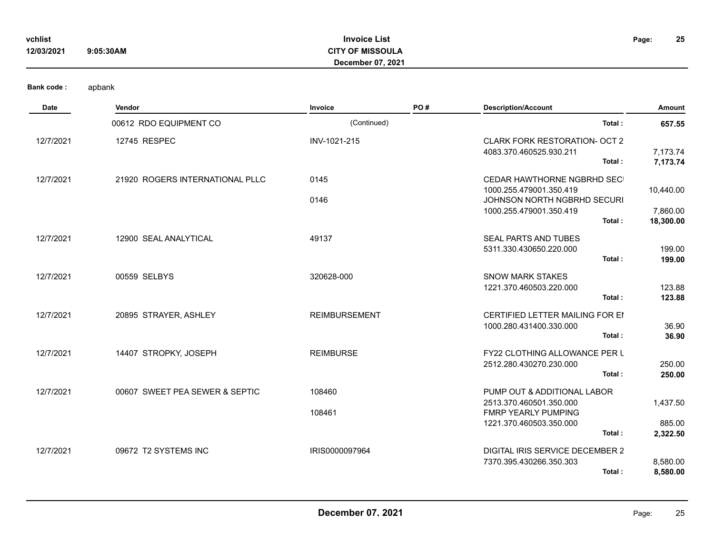| vchlist<br>12/03/2021 | 9:05:30AM | <b>Invoice List</b><br><b>CITY OF MISSOULA</b><br><b>December 07, 2021</b> | Page: | 25 |
|-----------------------|-----------|----------------------------------------------------------------------------|-------|----|
| Danielands i          | anhaniz   |                                                                            |       |    |

| Bank code : |  | apbank |
|-------------|--|--------|
|-------------|--|--------|

| <b>Date</b> | Vendor                          | Invoice              | PO# | <b>Description/Account</b>                                                                                                | Amount                             |
|-------------|---------------------------------|----------------------|-----|---------------------------------------------------------------------------------------------------------------------------|------------------------------------|
|             | 00612 RDO EQUIPMENT CO          | (Continued)          |     | Total:                                                                                                                    | 657.55                             |
| 12/7/2021   | 12745 RESPEC                    | INV-1021-215         |     | <b>CLARK FORK RESTORATION- OCT 2</b><br>4083.370.460525.930.211<br>Total:                                                 | 7,173.74<br>7,173.74               |
| 12/7/2021   | 21920 ROGERS INTERNATIONAL PLLC | 0145<br>0146         |     | CEDAR HAWTHORNE NGBRHD SEC<br>1000.255.479001.350.419<br>JOHNSON NORTH NGBRHD SECURI<br>1000.255.479001.350.419<br>Total: | 10,440.00<br>7,860.00<br>18,300.00 |
| 12/7/2021   | 12900 SEAL ANALYTICAL           | 49137                |     | SEAL PARTS AND TUBES<br>5311.330.430650.220.000<br>Total:                                                                 | 199.00<br>199.00                   |
| 12/7/2021   | 00559 SELBYS                    | 320628-000           |     | <b>SNOW MARK STAKES</b><br>1221.370.460503.220.000<br>Total:                                                              | 123.88<br>123.88                   |
| 12/7/2021   | 20895 STRAYER, ASHLEY           | <b>REIMBURSEMENT</b> |     | <b>CERTIFIED LETTER MAILING FOR EI</b><br>1000.280.431400.330.000<br>Total:                                               | 36.90<br>36.90                     |
| 12/7/2021   | 14407 STROPKY, JOSEPH           | <b>REIMBURSE</b>     |     | <b>FY22 CLOTHING ALLOWANCE PER L</b><br>2512.280.430270.230.000<br>Total:                                                 | 250.00<br>250.00                   |
| 12/7/2021   | 00607 SWEET PEA SEWER & SEPTIC  | 108460<br>108461     |     | PUMP OUT & ADDITIONAL LABOR<br>2513.370.460501.350.000<br><b>FMRP YEARLY PUMPING</b><br>1221.370.460503.350.000<br>Total: | 1,437.50<br>885.00<br>2,322.50     |
| 12/7/2021   | 09672 T2 SYSTEMS INC            | IRIS0000097964       |     | DIGITAL IRIS SERVICE DECEMBER 2<br>7370.395.430266.350.303<br>Total:                                                      | 8,580.00<br>8,580.00               |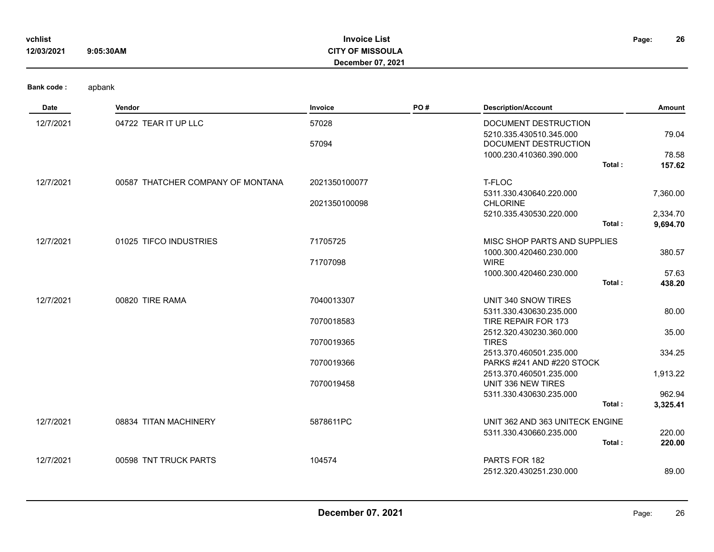| vchlist<br>12/03/2021 | <b>Invoice List</b><br>Page:<br>9:05:30AM<br><b>CITY OF MISSOULA</b><br>December 07, 2021 |               |     |                                                      |                      |
|-----------------------|-------------------------------------------------------------------------------------------|---------------|-----|------------------------------------------------------|----------------------|
| Bank code:            | apbank                                                                                    |               |     |                                                      |                      |
| Date                  | Vendor                                                                                    | Invoice       | PO# | <b>Description/Account</b>                           | Amount               |
| 12/7/2021             | 04722 TEAR IT UP LLC                                                                      | 57028         |     | DOCUMENT DESTRUCTION<br>5210.335.430510.345.000      | 79.04                |
|                       |                                                                                           | 57094         |     | DOCUMENT DESTRUCTION                                 |                      |
|                       |                                                                                           |               |     | 1000.230.410360.390.000<br>Total:                    | 78.58<br>157.62      |
| 12/7/2021             | 00587 THATCHER COMPANY OF MONTANA                                                         | 2021350100077 |     | T-FLOC                                               |                      |
|                       |                                                                                           | 2021350100098 |     | 5311.330.430640.220.000<br><b>CHLORINE</b>           | 7,360.00             |
|                       |                                                                                           |               |     | 5210.335.430530.220.000<br>Total:                    | 2,334.70<br>9,694.70 |
| 12/7/2021             | 01025 TIFCO INDUSTRIES                                                                    | 71705725      |     | MISC SHOP PARTS AND SUPPLIES                         |                      |
|                       |                                                                                           | 71707098      |     | 1000.300.420460.230.000<br><b>WIRE</b>               | 380.57               |
|                       |                                                                                           |               |     | 1000.300.420460.230.000                              | 57.63                |
|                       |                                                                                           |               |     | Total:                                               | 438.20               |
| 12/7/2021             | 00820 TIRE RAMA                                                                           | 7040013307    |     | UNIT 340 SNOW TIRES                                  |                      |
|                       |                                                                                           | 7070018583    |     | 5311.330.430630.235.000<br>TIRE REPAIR FOR 173       | 80.00                |
|                       |                                                                                           | 7070019365    |     | 2512.320.430230.360.000<br><b>TIRES</b>              | 35.00                |
|                       |                                                                                           |               |     | 2513.370.460501.235.000                              | 334.25               |
|                       |                                                                                           | 7070019366    |     | PARKS #241 AND #220 STOCK<br>2513.370.460501.235.000 | 1,913.22             |
|                       |                                                                                           | 7070019458    |     | UNIT 336 NEW TIRES                                   |                      |
|                       |                                                                                           |               |     | 5311.330.430630.235.000                              | 962.94               |
|                       |                                                                                           |               |     | Total:                                               | 3,325.41             |
| 12/7/2021             | 08834 TITAN MACHINERY                                                                     | 5878611PC     |     | UNIT 362 AND 363 UNITECK ENGINE                      |                      |
|                       |                                                                                           |               |     | 5311.330.430660.235.000<br>Total:                    | 220.00<br>220.00     |
|                       |                                                                                           |               |     |                                                      |                      |
| 12/7/2021             | 00598 TNT TRUCK PARTS                                                                     | 104574        |     | PARTS FOR 182<br>2512.320.430251.230.000             | 89.00                |
|                       |                                                                                           |               |     |                                                      |                      |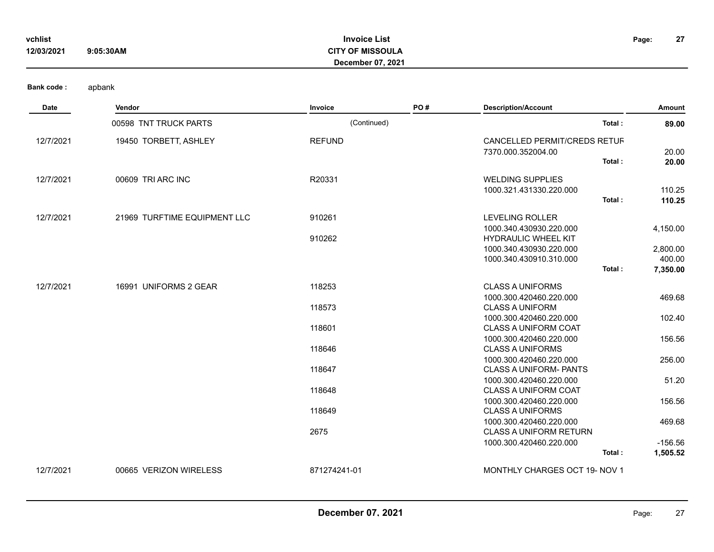| vchlist    |           | <b>Invoice List</b>     | Page: | 27 |
|------------|-----------|-------------------------|-------|----|
| 12/03/2021 | 9:05:30AM | <b>CITY OF MISSOULA</b> |       |    |
|            |           | December 07, 2021       |       |    |

| Date      | Vendor                       | Invoice       | PO# | <b>Description/Account</b>                             | Amount    |
|-----------|------------------------------|---------------|-----|--------------------------------------------------------|-----------|
|           | 00598 TNT TRUCK PARTS        | (Continued)   |     | Total:                                                 | 89.00     |
| 12/7/2021 | 19450 TORBETT, ASHLEY        | <b>REFUND</b> |     | CANCELLED PERMIT/CREDS RETUF                           |           |
|           |                              |               |     | 7370.000.352004.00                                     | 20.00     |
|           |                              |               |     | Total:                                                 | 20.00     |
| 12/7/2021 | 00609 TRI ARC INC            | R20331        |     | <b>WELDING SUPPLIES</b>                                |           |
|           |                              |               |     | 1000.321.431330.220.000                                | 110.25    |
|           |                              |               |     | Total:                                                 | 110.25    |
| 12/7/2021 | 21969 TURFTIME EQUIPMENT LLC | 910261        |     | <b>LEVELING ROLLER</b>                                 |           |
|           |                              |               |     | 1000.340.430930.220.000                                | 4,150.00  |
|           |                              | 910262        |     | HYDRAULIC WHEEL KIT                                    |           |
|           |                              |               |     | 1000.340.430930.220.000                                | 2,800.00  |
|           |                              |               |     | 1000.340.430910.310.000                                | 400.00    |
|           |                              |               |     | Total:                                                 | 7,350.00  |
| 12/7/2021 | 16991 UNIFORMS 2 GEAR        | 118253        |     | <b>CLASS A UNIFORMS</b>                                |           |
|           |                              |               |     | 1000.300.420460.220.000                                | 469.68    |
|           |                              | 118573        |     | <b>CLASS A UNIFORM</b>                                 |           |
|           |                              |               |     | 1000.300.420460.220.000                                | 102.40    |
|           |                              | 118601        |     | <b>CLASS A UNIFORM COAT</b>                            |           |
|           |                              |               |     | 1000.300.420460.220.000                                | 156.56    |
|           |                              | 118646        |     | <b>CLASS A UNIFORMS</b>                                |           |
|           |                              |               |     | 1000.300.420460.220.000                                | 256.00    |
|           |                              | 118647        |     | <b>CLASS A UNIFORM- PANTS</b>                          |           |
|           |                              | 118648        |     | 1000.300.420460.220.000<br><b>CLASS A UNIFORM COAT</b> | 51.20     |
|           |                              |               |     | 1000.300.420460.220.000                                | 156.56    |
|           |                              | 118649        |     | <b>CLASS A UNIFORMS</b>                                |           |
|           |                              |               |     | 1000.300.420460.220.000                                | 469.68    |
|           |                              | 2675          |     | <b>CLASS A UNIFORM RETURN</b>                          |           |
|           |                              |               |     | 1000.300.420460.220.000                                | $-156.56$ |
|           |                              |               |     | Total:                                                 | 1,505.52  |
| 12/7/2021 | 00665 VERIZON WIRELESS       | 871274241-01  |     | MONTHLY CHARGES OCT 19- NOV 1                          |           |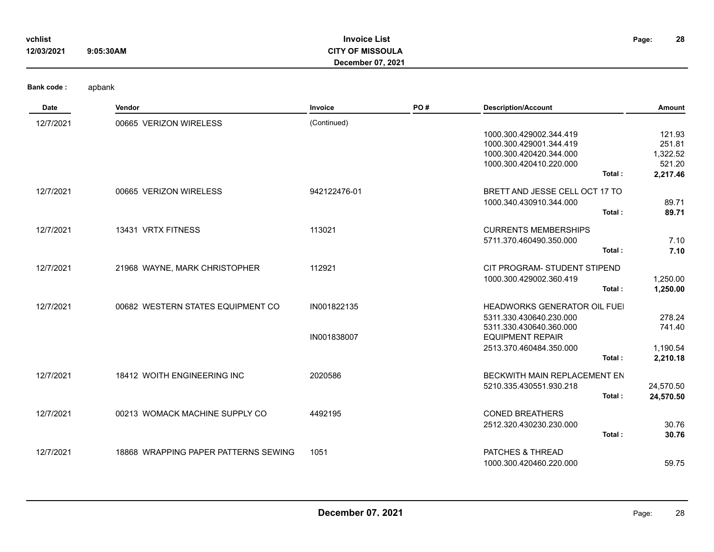| vchlist<br>12/03/2021 | 9:05:30AM              | <b>Invoice List</b><br><b>CITY OF MISSOULA</b><br><b>December 07, 2021</b> |     |                            | 28<br>Page: |
|-----------------------|------------------------|----------------------------------------------------------------------------|-----|----------------------------|-------------|
| <b>Bank code:</b>     | apbank                 |                                                                            |     |                            |             |
| Date                  | Vendor                 | Invoice                                                                    | PO# | <b>Description/Account</b> | Amount      |
| 12/7/2021             | 00665 VERIZON WIRELESS | (Continued)                                                                |     |                            |             |
|                       |                        |                                                                            |     | 1000.300.429002.344.419    | 121.93      |
|                       |                        |                                                                            |     | 1000.300.429001.344.419    | 251.81      |
|                       |                        |                                                                            |     | 1000.300.420420.344.000    | 1,322.52    |
|                       |                        |                                                                            |     | 1000 300 420410 220 000    | 52120       |

|           |                                      |              | 1000.300.420420.344.000<br>1000.300.420410.220.000<br>Total:                              | 1,322.52<br>521.20<br>2,217.46 |
|-----------|--------------------------------------|--------------|-------------------------------------------------------------------------------------------|--------------------------------|
| 12/7/2021 | 00665 VERIZON WIRELESS               | 942122476-01 | BRETT AND JESSE CELL OCT 17 TO<br>1000.340.430910.344.000<br>Total:                       | 89.71<br>89.71                 |
| 12/7/2021 | 13431 VRTX FITNESS                   | 113021       | <b>CURRENTS MEMBERSHIPS</b><br>5711.370.460490.350.000<br>Total:                          | 7.10<br>7.10                   |
| 12/7/2021 | 21968 WAYNE, MARK CHRISTOPHER        | 112921       | CIT PROGRAM- STUDENT STIPEND<br>1000.300.429002.360.419<br>Total:                         | 1,250.00<br>1,250.00           |
| 12/7/2021 | 00682 WESTERN STATES EQUIPMENT CO    | IN001822135  | <b>HEADWORKS GENERATOR OIL FUEL</b><br>5311.330.430640.230.000<br>5311.330.430640.360.000 | 278.24<br>741.40               |
|           |                                      | IN001838007  | <b>EQUIPMENT REPAIR</b><br>2513.370.460484.350.000<br>Total:                              | 1,190.54<br>2,210.18           |
| 12/7/2021 | 18412 WOITH ENGINEERING INC          | 2020586      | BECKWITH MAIN REPLACEMENT EN<br>5210.335.430551.930.218<br>Total:                         | 24,570.50<br>24,570.50         |
| 12/7/2021 | 00213 WOMACK MACHINE SUPPLY CO       | 4492195      | <b>CONED BREATHERS</b><br>2512.320.430230.230.000<br>Total:                               | 30.76<br>30.76                 |
| 12/7/2021 | 18868 WRAPPING PAPER PATTERNS SEWING | 1051         | PATCHES & THREAD<br>1000.300.420460.220.000                                               | 59.75                          |